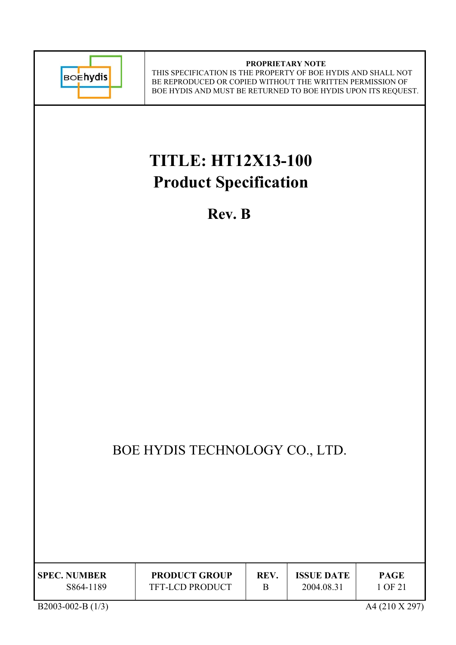

#### **PROPRIETARY NOTE** THIS SPECIFICATION IS THE PROPERTY OF BOE HYDIS AND SHALL NOT BE REPRODUCED OR COPIED WITHOUT THE WRITTEN PERMISSION OF BOE HYDIS AND MUST BE RETURNED TO BOE HYDIS UPON ITS REQUEST.

# **TITLE: HT12X13-100 Product Specification**

**Rev. B** 

## BOE HYDIS TECHNOLOGY CO., LTD.

| <b>SPEC. NUMBER</b> | <b>PRODUCT GROUP</b>   | REV. | <b>ISSUE DATE</b> | <b>PAGE</b> |
|---------------------|------------------------|------|-------------------|-------------|
| S864-1189           | <b>TFT-LCD PRODUCT</b> |      | 2004.08.31        | I OF 21     |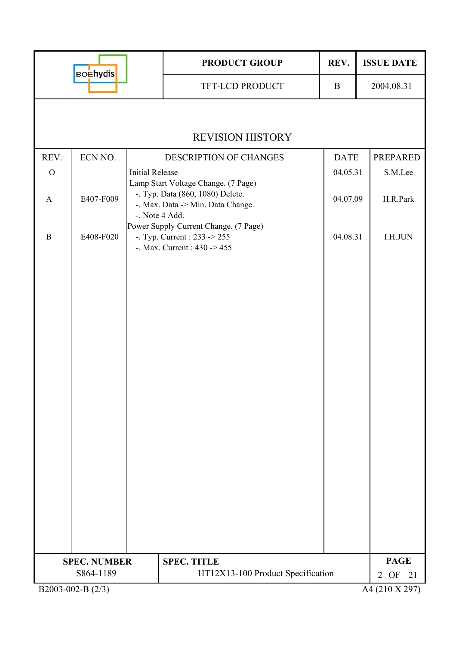| <b>BOEhydis</b> |                     |                | <b>PRODUCT GROUP</b>                                                                                                 | REV.        | <b>ISSUE DATE</b>          |  |  |  |  |
|-----------------|---------------------|----------------|----------------------------------------------------------------------------------------------------------------------|-------------|----------------------------|--|--|--|--|
|                 |                     |                | TFT-LCD PRODUCT                                                                                                      | $\bf{B}$    | 2004.08.31                 |  |  |  |  |
|                 |                     |                |                                                                                                                      |             |                            |  |  |  |  |
|                 |                     |                | <b>REVISION HISTORY</b>                                                                                              |             |                            |  |  |  |  |
| REV.            | ECN NO.             |                | <b>DESCRIPTION OF CHANGES</b>                                                                                        | <b>DATE</b> | <b>PREPARED</b>            |  |  |  |  |
| $\mathbf{O}$    |                     |                | <b>Initial Release</b><br>04.05.31                                                                                   |             |                            |  |  |  |  |
| $\mathbf{A}$    | E407-F009           | -. Note 4 Add. | Lamp Start Voltage Change. (7 Page)<br>-. Typ. Data (860, 1080) Delete.<br>-. Max. Data -> Min. Data Change.         | 04.07.09    | H.R.Park                   |  |  |  |  |
| $\mathbf B$     | E408-F020           |                | Power Supply Current Change. (7 Page)<br>-. Typ. Current : 233 -> 255<br>04.08.31<br>-. Max. Current : $430 \ge 455$ |             |                            |  |  |  |  |
|                 |                     |                |                                                                                                                      |             |                            |  |  |  |  |
|                 |                     |                |                                                                                                                      |             |                            |  |  |  |  |
|                 |                     |                |                                                                                                                      |             |                            |  |  |  |  |
|                 |                     |                |                                                                                                                      |             |                            |  |  |  |  |
|                 |                     |                |                                                                                                                      |             |                            |  |  |  |  |
|                 |                     |                |                                                                                                                      |             |                            |  |  |  |  |
|                 |                     |                |                                                                                                                      |             |                            |  |  |  |  |
|                 | <b>SPEC. NUMBER</b> |                | <b>SPEC. TITLE</b>                                                                                                   |             | <b>PAGE</b>                |  |  |  |  |
|                 | S864-1189           |                | HT12X13-100 Product Specification                                                                                    |             | OF<br>$\overline{2}$<br>21 |  |  |  |  |
|                 | B2003-002-B (2/3)   |                |                                                                                                                      |             | A4 (210 X 297)             |  |  |  |  |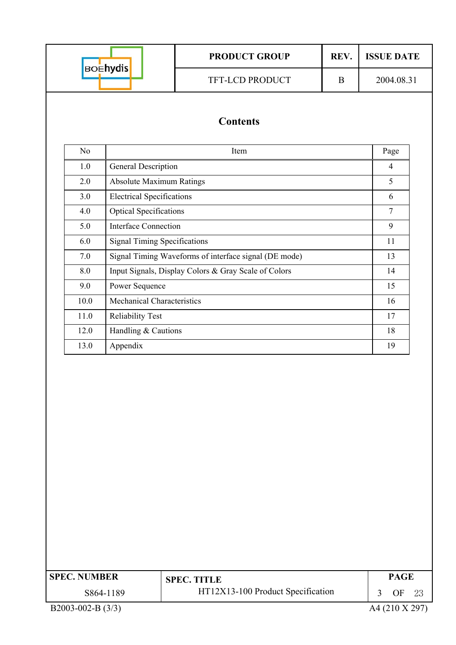| <b>BOEhydis</b>     |                                     | <b>PRODUCT GROUP</b>                                  | REV.     | <b>ISSUE DATE</b> |  |  |  |
|---------------------|-------------------------------------|-------------------------------------------------------|----------|-------------------|--|--|--|
|                     |                                     | TFT-LCD PRODUCT                                       | $\bf{B}$ | 2004.08.31        |  |  |  |
|                     |                                     | <b>Contents</b>                                       |          |                   |  |  |  |
| N <sub>o</sub>      |                                     | Item                                                  |          | Page              |  |  |  |
| 1.0                 | General Description                 |                                                       |          | $\overline{4}$    |  |  |  |
| 2.0                 | <b>Absolute Maximum Ratings</b>     |                                                       |          | 5                 |  |  |  |
| 3.0                 | <b>Electrical Specifications</b>    |                                                       |          | 6                 |  |  |  |
| 4.0                 | <b>Optical Specifications</b>       |                                                       |          | $\overline{7}$    |  |  |  |
| 5.0                 | <b>Interface Connection</b>         |                                                       |          | 9                 |  |  |  |
| 6.0                 | <b>Signal Timing Specifications</b> |                                                       |          | 11                |  |  |  |
| 7.0                 |                                     | Signal Timing Waveforms of interface signal (DE mode) |          | 13                |  |  |  |
| 8.0                 |                                     | Input Signals, Display Colors & Gray Scale of Colors  |          | 14                |  |  |  |
| 9.0                 | Power Sequence                      |                                                       |          | 15                |  |  |  |
| 10.0                |                                     | <b>Mechanical Characteristics</b>                     |          |                   |  |  |  |
| 11.0                |                                     | Reliability Test                                      |          |                   |  |  |  |
| 12.0                | Handling & Cautions                 | 18                                                    |          |                   |  |  |  |
| 13.0                | Appendix                            |                                                       |          | 19                |  |  |  |
|                     |                                     |                                                       |          |                   |  |  |  |
| <b>SPEC. NUMBER</b> |                                     | <b>SPEC. TITLE</b>                                    |          | <b>PAGE</b>       |  |  |  |
|                     | S864-1189                           | HT12X13-100 Product Specification                     |          | 3<br>OF<br>23     |  |  |  |
| B2003-002-B (3/3)   |                                     |                                                       |          | A4 (210 X 297)    |  |  |  |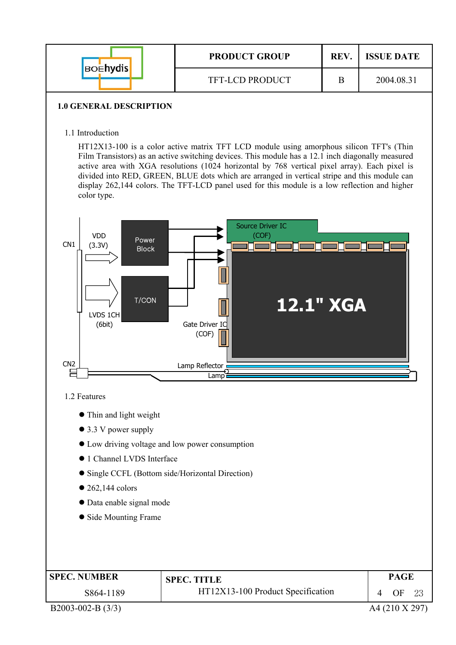| <b>BOENYdis</b> | <b>PRODUCT GROUP</b>   | REV. | <b>ISSUE DATE</b> |
|-----------------|------------------------|------|-------------------|
|                 | <b>TFT-LCD PRODUCT</b> |      | 2004.08.31        |

#### **1.0 GENERAL DESCRIPTION**

1.1 Introduction

HT12X13-100 is a color active matrix TFT LCD module using amorphous silicon TFT's (Thin Film Transistors) as an active switching devices. This module has a 12.1 inch diagonally measured active area with XGA resolutions (1024 horizontal by 768 vertical pixel array). Each pixel is divided into RED, GREEN, BLUE dots which are arranged in vertical stripe and this module can display 262,144 colors. The TFT-LCD panel used for this module is a low reflection and higher color type.



1.2 Features

- $\bullet$  Thin and light weight
- $\bullet$  3.3 V power supply
- $\bullet$  Low driving voltage and low power consumption
- $\bullet$  1 Channel LVDS Interface
- Single CCFL (Bottom side/Horizontal Direction)
- $\bullet$  262,144 colors
- Data enable signal mode
- Side Mounting Frame

| <b>SPEC. NUMBER</b> | <b>SPEC. TITLE</b>                | <b>PAGE</b> |
|---------------------|-----------------------------------|-------------|
| S864-1189           | HT12X13-100 Product Specification | OF.         |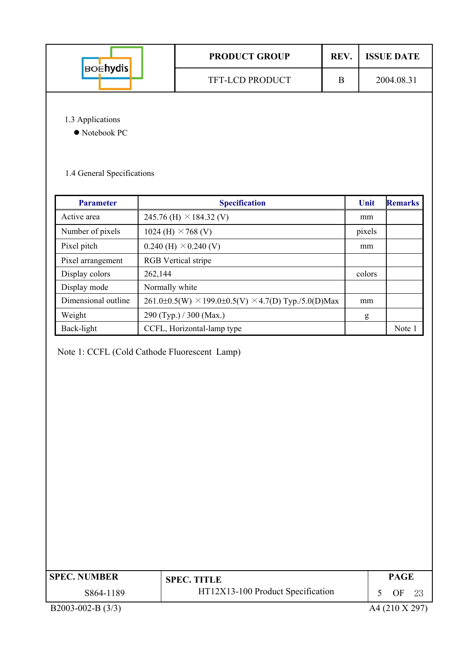| <b>BOEhydis</b> | <b>PRODUCT GROUP</b>   | REV. | <b>ISSUE DATE</b> |  |  |
|-----------------|------------------------|------|-------------------|--|--|
|                 | <b>TFT-LCD PRODUCT</b> |      | 2004.08.31        |  |  |
|                 |                        |      |                   |  |  |

1.3 Applications

 $\bullet$  Notebook PC

1.4 General Specifications

| <b>Parameter</b>    | <b>Specification</b>                                                | Unit   | <b>Remarks</b> |
|---------------------|---------------------------------------------------------------------|--------|----------------|
| Active area         | 245.76 (H) $\times$ 184.32 (V)                                      | mm     |                |
| Number of pixels    | 1024 (H) $\times$ 768 (V)                                           | pixels |                |
| Pixel pitch         | $0.240$ (H) $\times$ 0.240 (V)                                      | mm     |                |
| Pixel arrangement   | <b>RGB</b> Vertical stripe                                          |        |                |
| Display colors      | 262,144                                                             | colors |                |
| Display mode        | Normally white                                                      |        |                |
| Dimensional outline | $261.0\pm0.5(W) \times 199.0\pm0.5(V) \times 4.7(D)$ Typ./5.0(D)Max | mm     |                |
| Weight              | 290 (Typ.) / 300 (Max.)                                             | g      |                |
| Back-light          | CCFL, Horizontal-lamp type                                          |        | Note 1         |

Note 1: CCFL (Cold Cathode Fluorescent Lamp)

| <b>SPEC. NUMBER</b> | <b>SPEC. TITLE</b>                | <b>PAGE</b> |  |
|---------------------|-----------------------------------|-------------|--|
| S864-1189           | HT12X13-100 Product Specification | OF          |  |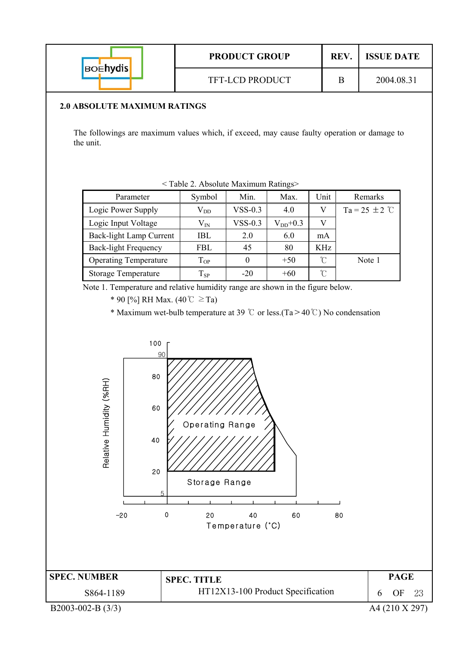| <b>BOEhydis</b>     |                                                                                                                                                  |              |                                                                    | <b>PRODUCT GROUP</b>              |                    |               | REV.     | <b>ISSUE DATE</b>  |
|---------------------|--------------------------------------------------------------------------------------------------------------------------------------------------|--------------|--------------------------------------------------------------------|-----------------------------------|--------------------|---------------|----------|--------------------|
|                     |                                                                                                                                                  |              | TFT-LCD PRODUCT                                                    |                                   |                    |               | $\bf{B}$ | 2004.08.31         |
|                     | <b>2.0 ABSOLUTE MAXIMUM RATINGS</b>                                                                                                              |              |                                                                    |                                   |                    |               |          |                    |
| the unit.           | The followings are maximum values which, if exceed, may cause faulty operation or damage to                                                      |              |                                                                    |                                   |                    |               |          |                    |
|                     | Parameter                                                                                                                                        |              | <table 2.="" absolute="" maximum="" ratings=""><br/>Symbol</table> | Min.                              | Max.               | Unit          |          | Remarks            |
|                     | Logic Power Supply                                                                                                                               |              | $\rm V_{DD}$                                                       | $VSS-0.3$                         | 4.0                | $\mathbf V$   |          | Ta = 25 $\pm$ 2 °C |
|                     | Logic Input Voltage                                                                                                                              |              | $V_{IN}$                                                           | $VSS-0.3$                         | $\rm V_{DD}{+}0.3$ | V             |          |                    |
|                     | Back-light Lamp Current                                                                                                                          |              | IBL                                                                | 2.0                               | 6.0                | mA            |          |                    |
|                     | <b>Back-light Frequency</b>                                                                                                                      |              | <b>FBL</b>                                                         | 45                                | 80                 | <b>KHz</b>    |          |                    |
|                     | <b>Operating Temperature</b>                                                                                                                     |              | $T_{OP}$                                                           | $\mathbf{0}$                      | $+50$              | $\mathcal{C}$ |          | Note 1             |
|                     | <b>Storage Temperature</b>                                                                                                                       |              | $T_{SP}$                                                           | $-20$                             | $+60$              | $\mathcal{C}$ |          |                    |
|                     | * Maximum wet-bulb temperature at 39 °C or less. (Ta > 40 °C) No condensation<br>100<br>80<br>Relative Humidity (%RH)<br>60<br>40<br>20<br>$-20$ | 90<br>5<br>0 | <b>Operating Range</b><br>Storage Range<br>20                      | 40<br>Temperature (°C)            | 60                 |               | 80       |                    |
| <b>SPEC. NUMBER</b> |                                                                                                                                                  |              | <b>SPEC. TITLE</b>                                                 |                                   |                    |               |          | <b>PAGE</b>        |
|                     | S864-1189                                                                                                                                        |              |                                                                    | HT12X13-100 Product Specification |                    |               |          | OF<br>6<br>23      |
| B2003-002-B (3/3)   |                                                                                                                                                  |              |                                                                    |                                   |                    |               |          | A4 (210 X 297)     |

Г

г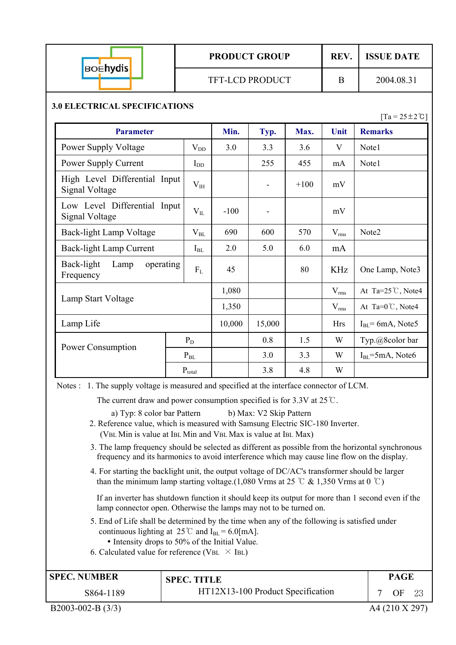| <b>BOEhydis</b> |
|-----------------|
|                 |

## **PRODUCT GROUP REV. ISSUE DATE**

#### **3.0 ELECTRICAL SPECIFICATIONS**

 $[Ta = 25 \pm 2 \degree C]$ 

| <b>Parameter</b>                                |              | Min.   | Typ.                     | Max.   | Unit       | <b>Remarks</b>               |
|-------------------------------------------------|--------------|--------|--------------------------|--------|------------|------------------------------|
| <b>Power Supply Voltage</b>                     | $V_{DD}$     | 3.0    | 3.3                      | 3.6    | V          | Note1                        |
| Power Supply Current                            | $I_{DD}$     |        | 255                      | 455    | mA         | Note1                        |
| High Level Differential Input<br>Signal Voltage | $V_{IH}$     |        | $\overline{\phantom{a}}$ | $+100$ | mV         |                              |
| Low Level Differential Input<br>Signal Voltage  | $V_{IL}$     | $-100$ |                          |        | mV         |                              |
| Back-light Lamp Voltage                         | $\rm V_{BL}$ | 690    | 600                      | 570    | $V_{rms}$  | Note2                        |
| Back-light Lamp Current                         | $I_{BL}$     | 2.0    | 5.0                      | 6.0    | mA         |                              |
| Back-light<br>Lamp<br>operating<br>Frequency    | $F_{L}$      | 45     |                          | 80     | <b>KHz</b> | One Lamp, Note3              |
|                                                 |              | 1,080  |                          |        | $V_{rms}$  | At Ta= $25^{\circ}$ C, Note4 |
| Lamp Start Voltage                              |              | 1,350  |                          |        | $V_{rms}$  | At Ta= $0^{\circ}$ C, Note4  |
| Lamp Life                                       |              | 10,000 | 15,000                   |        | <b>Hrs</b> | $IBL = 6mA$ , Note5          |
|                                                 | $P_D$        |        | 0.8                      | 1.5    | W          | Typ.@8color bar              |
| Power Consumption                               | $P_{BL}$     |        | 3.0                      | 3.3    | W          | $IBL=5mA$ , Note6            |
|                                                 | $P_{total}$  |        | 3.8                      | 4.8    | W          |                              |

Notes : 1. The supply voltage is measured and specified at the interface connector of LCM.

The current draw and power consumption specified is for  $3.3V$  at  $25^{\circ}$ C.

a) Typ: 8 color bar Pattern b) Max: V2 Skip Pattern

 2. Reference value, which is measured with Samsung Electric SIC-180 Inverter. (VBL Min is value at IBL Min and VBL Max is value at IBL Max)

- 3. The lamp frequency should be selected as different as possible from the horizontal synchronous frequency and its harmonics to avoid interference which may cause line flow on the display.
- 4. For starting the backlight unit, the output voltage of DC/AC's transformer should be larger than the minimum lamp starting voltage.(1,080 Vrms at 25  $\degree$  & 1,350 Vrms at 0  $\degree$ C)

If an inverter has shutdown function it should keep its output for more than 1 second even if the lamp connector open. Otherwise the lamps may not to be turned on.

- 5. End of Life shall be determined by the time when any of the following is satisfied under continuous lighting at  $25^{\circ}$  and I<sub>BL</sub> = 6.0[mA].
	- Intensity drops to 50% of the Initial Value.
- 6. Calculated value for reference (VBL  $\times$  IBL)

| <b>SPEC. NUMBER</b> | <b>SPEC. TITLE</b>                | <b>PAGE</b> |  |
|---------------------|-----------------------------------|-------------|--|
| S864-1189           | HT12X13-100 Product Specification | OF          |  |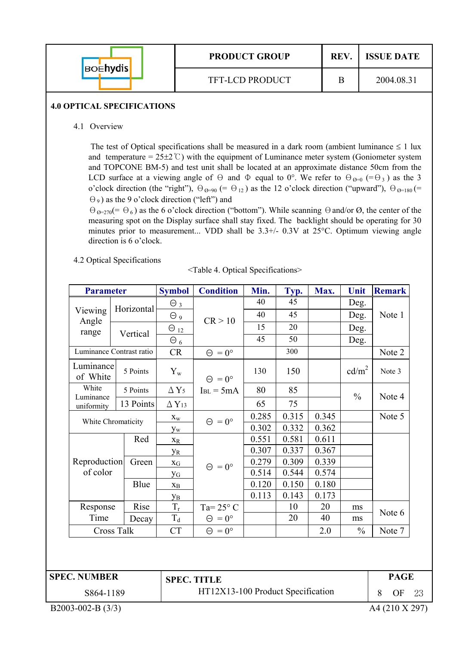| <b>BOENYdis</b> | <b>PRODUCT GROUP</b>   | REV. | <b>ISSUE DATE</b> |  |  |
|-----------------|------------------------|------|-------------------|--|--|
|                 | <b>TFT-LCD PRODUCT</b> |      | 2004.08.31        |  |  |

#### **4.0 OPTICAL SPECIFICATIONS**

4.1 Overview

The test of Optical specifications shall be measured in a dark room (ambient luminance  $\leq 1$  lux and temperature =  $25\pm2^{\circ}$ ) with the equipment of Luminance meter system (Goniometer system and TOPCONE BM-5) and test unit shall be located at an approximate distance 50cm from the LCD surface at a viewing angle of  $\Theta$  and  $\Phi$  equal to 0°. We refer to  $\Theta_{\Theta=0}$  (= $\Theta_3$ ) as the 3 o'clock direction (the "right"),  $\Theta_{\varnothing=90}$  (=  $\Theta_{12}$ ) as the 12 o'clock direction ("upward"),  $\Theta_{\varnothing=180}$  (=  $(\Theta_9)$  as the 9 o'clock direction ("left") and

 $\Theta_{\mathcal{O}=270}(=\Theta_6)$  as the 6 o'clock direction ("bottom"). While scanning  $\Theta$  and/or  $\emptyset$ , the center of the measuring spot on the Display surface shall stay fixed. The backlight should be operating for 30 minutes prior to measurement... VDD shall be  $3.3+/$ - 0.3V at  $25^{\circ}$ C. Optimum viewing angle direction is 6 o'clock.

4.2 Optical Specifications

|  | <table 4.="" optical="" specifications=""></table> |
|--|----------------------------------------------------|

| <b>Parameter</b><br>Viewing<br>Angle<br>range<br>Luminance<br>of White<br>White<br>Luminance<br>uniformity<br>White Chromaticity<br>Reproduction<br>of color<br>Response<br>Time<br><b>Cross Talk</b>                                                                                                                                                                                                                                                                                                                                                                                                                                                                                                                                                                                                                                                                                                                                                                                                                                                                                              | <b>Symbol</b> | <b>Condition</b> | Min. | Typ. | Max. | Unit | <b>Remark</b> |
|----------------------------------------------------------------------------------------------------------------------------------------------------------------------------------------------------------------------------------------------------------------------------------------------------------------------------------------------------------------------------------------------------------------------------------------------------------------------------------------------------------------------------------------------------------------------------------------------------------------------------------------------------------------------------------------------------------------------------------------------------------------------------------------------------------------------------------------------------------------------------------------------------------------------------------------------------------------------------------------------------------------------------------------------------------------------------------------------------|---------------|------------------|------|------|------|------|---------------|
| Vertical<br>5 Points<br>5 Points<br>Red<br>Blue<br>Rise                                                                                                                                                                                                                                                                                                                                                                                                                                                                                                                                                                                                                                                                                                                                                                                                                                                                                                                                                                                                                                            | $\Theta_3$    |                  | 40   | 45   |      | Deg. |               |
|                                                                                                                                                                                                                                                                                                                                                                                                                                                                                                                                                                                                                                                                                                                                                                                                                                                                                                                                                                                                                                                                                                    | $\Theta$ 9    |                  | 40   | 45   |      | Deg. | Note 1        |
| Horizontal<br>CR > 10<br>15<br>20<br>Deg.<br>$\Theta_{12}$<br>45<br>50<br>Deg.<br>$\Theta_6$<br>Luminance Contrast ratio<br>300<br>CR<br>$\Theta = 0^{\circ}$<br>Note 2<br>cd/m <sup>2</sup><br>130<br>$Y_{w}$<br>150<br>Note 3<br>$\Theta = 0^{\circ}$<br>$\Delta$ Y <sub>5</sub><br>80<br>85<br>$I_{BL} = 5mA$<br>$\frac{0}{0}$<br>Note 4<br>13 Points<br>65<br>75<br>$\Delta$ Y <sub>13</sub><br>0.315<br>0.345<br>0.285<br>Note 5<br>$\mathbf{X}_\mathbf{W}$<br>$\Theta = 0^{\circ}$<br>0.302<br>0.332<br>0.362<br>$y_w$<br>0.611<br>0.551<br>0.581<br>$X_R$<br>0.307<br>0.337<br>0.367<br><b>y</b> <sub>R</sub><br>0.309<br>0.279<br>0.339<br>Green<br>$X_G$<br>$\Theta = 0^{\circ}$<br>0.514<br>0.544<br>0.574<br><b>y</b> <sub>G</sub><br>0.120<br>0.150<br>0.180<br>$\mathbf{X}_{\text{B}}$<br>0.113<br>0.143<br>0.173<br>Ув<br>$\rm T_r$<br>Ta= $25^{\circ}$ C<br>10<br>20<br>ms<br>Note 6<br>$T_d$<br>40<br>20<br>$\Theta = 0^{\circ}$<br>Decay<br>ms<br><b>CT</b><br>2.0<br>$\frac{0}{0}$<br>$\Theta = 0^{\circ}$<br>Note 7<br><b>SPEC. NUMBER</b><br><b>PAGE</b><br><b>SPEC. TITLE</b> |               |                  |      |      |      |      |               |
|                                                                                                                                                                                                                                                                                                                                                                                                                                                                                                                                                                                                                                                                                                                                                                                                                                                                                                                                                                                                                                                                                                    |               |                  |      |      |      |      |               |
|                                                                                                                                                                                                                                                                                                                                                                                                                                                                                                                                                                                                                                                                                                                                                                                                                                                                                                                                                                                                                                                                                                    |               |                  |      |      |      | 8    |               |
|                                                                                                                                                                                                                                                                                                                                                                                                                                                                                                                                                                                                                                                                                                                                                                                                                                                                                                                                                                                                                                                                                                    |               |                  |      |      |      |      |               |
|                                                                                                                                                                                                                                                                                                                                                                                                                                                                                                                                                                                                                                                                                                                                                                                                                                                                                                                                                                                                                                                                                                    |               |                  |      |      |      |      |               |
|                                                                                                                                                                                                                                                                                                                                                                                                                                                                                                                                                                                                                                                                                                                                                                                                                                                                                                                                                                                                                                                                                                    |               |                  |      |      |      |      |               |
|                                                                                                                                                                                                                                                                                                                                                                                                                                                                                                                                                                                                                                                                                                                                                                                                                                                                                                                                                                                                                                                                                                    |               |                  |      |      |      |      |               |
|                                                                                                                                                                                                                                                                                                                                                                                                                                                                                                                                                                                                                                                                                                                                                                                                                                                                                                                                                                                                                                                                                                    |               |                  |      |      |      |      |               |
|                                                                                                                                                                                                                                                                                                                                                                                                                                                                                                                                                                                                                                                                                                                                                                                                                                                                                                                                                                                                                                                                                                    |               |                  |      |      |      |      |               |
|                                                                                                                                                                                                                                                                                                                                                                                                                                                                                                                                                                                                                                                                                                                                                                                                                                                                                                                                                                                                                                                                                                    |               |                  |      |      |      |      |               |
|                                                                                                                                                                                                                                                                                                                                                                                                                                                                                                                                                                                                                                                                                                                                                                                                                                                                                                                                                                                                                                                                                                    |               |                  |      |      |      |      |               |
|                                                                                                                                                                                                                                                                                                                                                                                                                                                                                                                                                                                                                                                                                                                                                                                                                                                                                                                                                                                                                                                                                                    |               |                  |      |      |      |      |               |
|                                                                                                                                                                                                                                                                                                                                                                                                                                                                                                                                                                                                                                                                                                                                                                                                                                                                                                                                                                                                                                                                                                    |               |                  |      |      |      |      |               |
|                                                                                                                                                                                                                                                                                                                                                                                                                                                                                                                                                                                                                                                                                                                                                                                                                                                                                                                                                                                                                                                                                                    |               |                  |      |      |      |      |               |
| HT12X13-100 Product Specification<br>S864-1189                                                                                                                                                                                                                                                                                                                                                                                                                                                                                                                                                                                                                                                                                                                                                                                                                                                                                                                                                                                                                                                     |               |                  |      |      |      |      |               |
|                                                                                                                                                                                                                                                                                                                                                                                                                                                                                                                                                                                                                                                                                                                                                                                                                                                                                                                                                                                                                                                                                                    |               |                  |      |      |      |      |               |
|                                                                                                                                                                                                                                                                                                                                                                                                                                                                                                                                                                                                                                                                                                                                                                                                                                                                                                                                                                                                                                                                                                    |               |                  |      |      |      |      |               |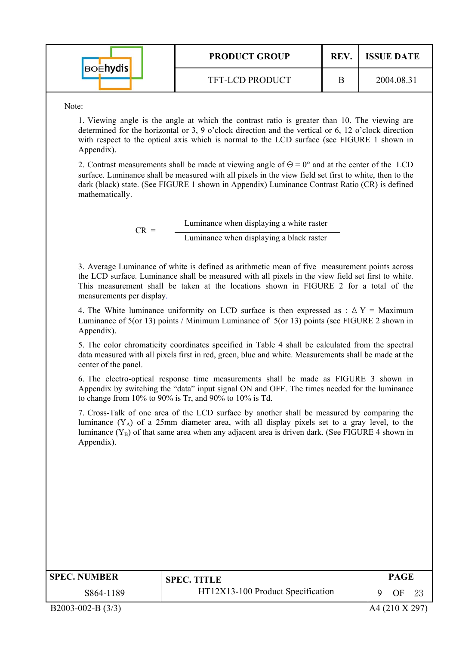| <b>BOENYdis</b> | <b>PRODUCT GROUP</b>   | <b>REV</b> | <b>ISSUE DATE</b> |  |  |
|-----------------|------------------------|------------|-------------------|--|--|
|                 | <b>TFT-LCD PRODUCT</b> |            | 2004.08.31        |  |  |

Note:

1. Viewing angle is the angle at which the contrast ratio is greater than 10. The viewing are determined for the horizontal or 3, 9 o'clock direction and the vertical or 6, 12 o'clock direction with respect to the optical axis which is normal to the LCD surface (see FIGURE 1 shown in Appendix).

2. Contrast measurements shall be made at viewing angle of  $\Theta = 0^{\circ}$  and at the center of the LCD surface. Luminance shall be measured with all pixels in the view field set first to white, then to the dark (black) state. (See FIGURE 1 shown in Appendix) Luminance Contrast Ratio (CR) is defined mathematically.

> $CR =$  Luminance when displaying a white raster Luminance when displaying a black raster

3. Average Luminance of white is defined as arithmetic mean of five measurement points across the LCD surface. Luminance shall be measured with all pixels in the view field set first to white. This measurement shall be taken at the locations shown in FIGURE 2 for a total of the measurements per display.

4. The White luminance uniformity on LCD surface is then expressed as :  $\Delta Y =$  Maximum Luminance of 5(or 13) points / Minimum Luminance of 5(or 13) points (see FIGURE 2 shown in Appendix).

5. The color chromaticity coordinates specified in Table 4 shall be calculated from the spectral data measured with all pixels first in red, green, blue and white. Measurements shall be made at the center of the panel.

6. The electro-optical response time measurements shall be made as FIGURE 3 shown in Appendix by switching the "data" input signal ON and OFF. The times needed for the luminance to change from 10% to 90% is Tr, and 90% to 10% is Td.

7. Cross-Talk of one area of the LCD surface by another shall be measured by comparing the luminance  $(Y_A)$  of a 25mm diameter area, with all display pixels set to a gray level, to the luminance  $(Y_B)$  of that same area when any adjacent area is driven dark. (See FIGURE 4 shown in Appendix).

| <b>SPEC. NUMBER</b> | <b>SPEC. TITLE</b>                | <b>PAGE</b> |  |
|---------------------|-----------------------------------|-------------|--|
| S864-1189           | HT12X13-100 Product Specification | OF          |  |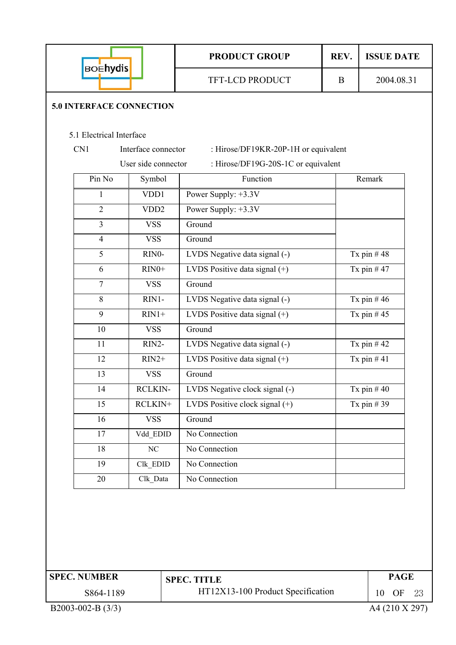|                                 |                     | <b>PRODUCT GROUP</b>                 | REV.         | <b>ISSUE DATE</b> |
|---------------------------------|---------------------|--------------------------------------|--------------|-------------------|
| <b>BOEhydis</b>                 |                     | <b>TFT-LCD PRODUCT</b>               | $\mathbf{B}$ | 2004.08.31        |
| <b>5.0 INTERFACE CONNECTION</b> |                     |                                      |              |                   |
| 5.1 Electrical Interface        |                     |                                      |              |                   |
| CN1                             | Interface connector | : Hirose/DF19KR-20P-1H or equivalent |              |                   |
|                                 | User side connector | : Hirose/DF19G-20S-1C or equivalent  |              |                   |
| Pin No                          | Symbol              | Function                             |              | Remark            |
| 1                               | VDD1                | Power Supply: +3.3V                  |              |                   |
| $\overline{2}$                  | VDD <sub>2</sub>    | Power Supply: +3.3V                  |              |                   |
| $\overline{3}$                  | <b>VSS</b>          | Ground                               |              |                   |
| $\overline{4}$                  | <b>VSS</b>          | Ground                               |              |                   |
| $\overline{5}$                  | RINO-               | LVDS Negative data signal (-)        |              | Tx pin $#48$      |
| 6                               | $RIN0+$             | LVDS Positive data signal (+)        |              | Tx pin $#47$      |
| $\overline{7}$                  | <b>VSS</b>          | Ground                               |              |                   |
| 8                               | RIN1-               | LVDS Negative data signal (-)        |              | Tx pin $#46$      |
| 9                               | $RIN1+$             | LVDS Positive data signal $(+)$      |              | Tx pin $#45$      |
| 10                              | <b>VSS</b>          | Ground                               |              |                   |
| 11                              | RIN2-               | LVDS Negative data signal (-)        |              | Tx pin $#42$      |
| 12                              | $RIN2+$             | LVDS Positive data signal (+)        |              | Tx pin $#41$      |
| 13                              | <b>VSS</b>          | Ground                               |              |                   |
| 14                              | <b>RCLKIN-</b>      | LVDS Negative clock signal (-)       |              | Tx pin $#40$      |
| 15                              | RCLKIN+             | LVDS Positive clock signal $(+)$     |              | Tx pin $#39$      |
| 16                              | <b>VSS</b>          | Ground                               |              |                   |
| 17                              | Vdd_EDID            | No Connection                        |              |                   |
| 18                              | NC                  | No Connection                        |              |                   |
| 19                              | Clk_EDID            | No Connection                        |              |                   |
| 20                              | Clk_Data            | No Connection                        |              |                   |
|                                 |                     |                                      |              |                   |
| <b>SPEC. NUMBER</b>             |                     | <b>SPEC. TITLE</b>                   |              | <b>PAGE</b>       |
| S864-1189                       |                     | HT12X13-100 Product Specification    |              | 10<br>OF<br>23    |
| B2003-002-B (3/3)               |                     |                                      |              | A4 (210 X 297)    |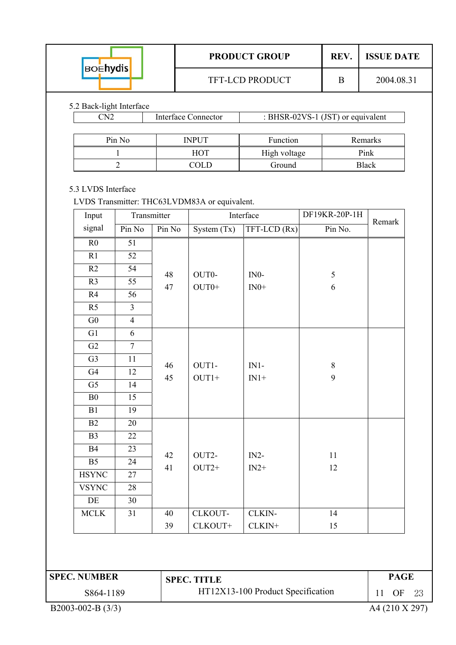|                                                                                                                                                                                                                                                                                                                                                                                                                                                                                                                                                                                                                                                     |                |    |  |               |        |                                                                                                                                                                                                                                                                    | REV. |  |  |
|-----------------------------------------------------------------------------------------------------------------------------------------------------------------------------------------------------------------------------------------------------------------------------------------------------------------------------------------------------------------------------------------------------------------------------------------------------------------------------------------------------------------------------------------------------------------------------------------------------------------------------------------------------|----------------|----|--|---------------|--------|--------------------------------------------------------------------------------------------------------------------------------------------------------------------------------------------------------------------------------------------------------------------|------|--|--|
|                                                                                                                                                                                                                                                                                                                                                                                                                                                                                                                                                                                                                                                     |                |    |  |               |        | 2004.08.31<br>B<br>: BHSR-02VS-1 (JST) or equivalent<br>Function<br>Remarks<br>High voltage<br>Pink<br>Ground<br><b>Black</b><br>DF19KR-20P-1H<br>Remark<br>Pin No.<br>5<br>6<br>8<br>9<br>11<br>12<br>14<br>15<br><b>PAGE</b><br>11<br>OF<br>23<br>A4 (210 X 297) |      |  |  |
|                                                                                                                                                                                                                                                                                                                                                                                                                                                                                                                                                                                                                                                     |                |    |  |               |        |                                                                                                                                                                                                                                                                    |      |  |  |
|                                                                                                                                                                                                                                                                                                                                                                                                                                                                                                                                                                                                                                                     |                |    |  |               |        |                                                                                                                                                                                                                                                                    |      |  |  |
|                                                                                                                                                                                                                                                                                                                                                                                                                                                                                                                                                                                                                                                     |                |    |  |               |        |                                                                                                                                                                                                                                                                    |      |  |  |
|                                                                                                                                                                                                                                                                                                                                                                                                                                                                                                                                                                                                                                                     |                |    |  |               |        |                                                                                                                                                                                                                                                                    |      |  |  |
|                                                                                                                                                                                                                                                                                                                                                                                                                                                                                                                                                                                                                                                     |                |    |  |               |        |                                                                                                                                                                                                                                                                    |      |  |  |
|                                                                                                                                                                                                                                                                                                                                                                                                                                                                                                                                                                                                                                                     |                |    |  |               |        |                                                                                                                                                                                                                                                                    |      |  |  |
|                                                                                                                                                                                                                                                                                                                                                                                                                                                                                                                                                                                                                                                     |                |    |  |               |        |                                                                                                                                                                                                                                                                    |      |  |  |
| Input                                                                                                                                                                                                                                                                                                                                                                                                                                                                                                                                                                                                                                               |                |    |  |               |        |                                                                                                                                                                                                                                                                    |      |  |  |
| signal                                                                                                                                                                                                                                                                                                                                                                                                                                                                                                                                                                                                                                              | Pin No         |    |  | System $(Tx)$ |        | <b>ISSUE DATE</b>                                                                                                                                                                                                                                                  |      |  |  |
| R <sub>0</sub>                                                                                                                                                                                                                                                                                                                                                                                                                                                                                                                                                                                                                                      | 51<br>52       |    |  |               |        |                                                                                                                                                                                                                                                                    |      |  |  |
| R1                                                                                                                                                                                                                                                                                                                                                                                                                                                                                                                                                                                                                                                  |                |    |  |               |        |                                                                                                                                                                                                                                                                    |      |  |  |
| R2                                                                                                                                                                                                                                                                                                                                                                                                                                                                                                                                                                                                                                                  | 54             |    |  |               |        |                                                                                                                                                                                                                                                                    |      |  |  |
| R <sub>3</sub>                                                                                                                                                                                                                                                                                                                                                                                                                                                                                                                                                                                                                                      | 55             |    |  |               |        |                                                                                                                                                                                                                                                                    |      |  |  |
| R4                                                                                                                                                                                                                                                                                                                                                                                                                                                                                                                                                                                                                                                  | 56             |    |  |               |        |                                                                                                                                                                                                                                                                    |      |  |  |
| R <sub>5</sub>                                                                                                                                                                                                                                                                                                                                                                                                                                                                                                                                                                                                                                      | $\overline{3}$ |    |  |               |        |                                                                                                                                                                                                                                                                    |      |  |  |
| G <sub>0</sub>                                                                                                                                                                                                                                                                                                                                                                                                                                                                                                                                                                                                                                      | $\overline{4}$ |    |  |               |        |                                                                                                                                                                                                                                                                    |      |  |  |
| G1                                                                                                                                                                                                                                                                                                                                                                                                                                                                                                                                                                                                                                                  | 6              |    |  |               |        |                                                                                                                                                                                                                                                                    |      |  |  |
| G2                                                                                                                                                                                                                                                                                                                                                                                                                                                                                                                                                                                                                                                  | $\overline{7}$ |    |  |               |        |                                                                                                                                                                                                                                                                    |      |  |  |
| G <sub>3</sub>                                                                                                                                                                                                                                                                                                                                                                                                                                                                                                                                                                                                                                      | 11             |    |  |               |        |                                                                                                                                                                                                                                                                    |      |  |  |
| G4                                                                                                                                                                                                                                                                                                                                                                                                                                                                                                                                                                                                                                                  | 12             |    |  |               |        |                                                                                                                                                                                                                                                                    |      |  |  |
| G <sub>5</sub>                                                                                                                                                                                                                                                                                                                                                                                                                                                                                                                                                                                                                                      | 14             |    |  |               |        |                                                                                                                                                                                                                                                                    |      |  |  |
| B <sub>0</sub>                                                                                                                                                                                                                                                                                                                                                                                                                                                                                                                                                                                                                                      | 15             |    |  |               |        |                                                                                                                                                                                                                                                                    |      |  |  |
| B1                                                                                                                                                                                                                                                                                                                                                                                                                                                                                                                                                                                                                                                  | 19             |    |  |               |        |                                                                                                                                                                                                                                                                    |      |  |  |
| B2                                                                                                                                                                                                                                                                                                                                                                                                                                                                                                                                                                                                                                                  | 20             |    |  |               |        |                                                                                                                                                                                                                                                                    |      |  |  |
| B <sub>3</sub>                                                                                                                                                                                                                                                                                                                                                                                                                                                                                                                                                                                                                                      | 22             |    |  |               |        |                                                                                                                                                                                                                                                                    |      |  |  |
| <b>B4</b>                                                                                                                                                                                                                                                                                                                                                                                                                                                                                                                                                                                                                                           | 23             |    |  |               |        |                                                                                                                                                                                                                                                                    |      |  |  |
| B <sub>5</sub>                                                                                                                                                                                                                                                                                                                                                                                                                                                                                                                                                                                                                                      | 24             |    |  |               |        |                                                                                                                                                                                                                                                                    |      |  |  |
| <b>HSYNC</b>                                                                                                                                                                                                                                                                                                                                                                                                                                                                                                                                                                                                                                        | 27             |    |  |               |        |                                                                                                                                                                                                                                                                    |      |  |  |
| <b>VSYNC</b>                                                                                                                                                                                                                                                                                                                                                                                                                                                                                                                                                                                                                                        | 28             |    |  |               |        |                                                                                                                                                                                                                                                                    |      |  |  |
| DE                                                                                                                                                                                                                                                                                                                                                                                                                                                                                                                                                                                                                                                  | 30             |    |  |               |        |                                                                                                                                                                                                                                                                    |      |  |  |
|                                                                                                                                                                                                                                                                                                                                                                                                                                                                                                                                                                                                                                                     | 31             | 40 |  |               |        |                                                                                                                                                                                                                                                                    |      |  |  |
|                                                                                                                                                                                                                                                                                                                                                                                                                                                                                                                                                                                                                                                     |                | 39 |  | CLKOUT+       | CLKIN+ |                                                                                                                                                                                                                                                                    |      |  |  |
|                                                                                                                                                                                                                                                                                                                                                                                                                                                                                                                                                                                                                                                     |                |    |  |               |        |                                                                                                                                                                                                                                                                    |      |  |  |
|                                                                                                                                                                                                                                                                                                                                                                                                                                                                                                                                                                                                                                                     |                |    |  |               |        |                                                                                                                                                                                                                                                                    |      |  |  |
| <b>PRODUCT GROUP</b><br><b>BOEhydis</b><br>TFT-LCD PRODUCT<br>5.2 Back-light Interface<br>CN2<br><b>Interface Connector</b><br>Pin No<br><b>INPUT</b><br><b>HOT</b><br>1<br>$\overline{2}$<br>COLD<br>5.3 LVDS Interface<br>LVDS Transmitter: THC63LVDM83A or equivalent.<br>Transmitter<br>Interface<br>Pin No<br>TFT-LCD (Rx)<br>OUT0-<br>48<br>$IN0-$<br>47<br>$OUT0+$<br>$IN0+$<br>OUT1-<br>$IN1-$<br>46<br>$OUT1+$<br>$IN1+$<br>45<br>OUT2-<br>$IN2-$<br>42<br>$OUT2+$<br>41<br>$IN2+$<br><b>MCLK</b><br>CLKOUT-<br>CLKIN-<br><b>SPEC. NUMBER</b><br><b>SPEC. TITLE</b><br>HT12X13-100 Product Specification<br>S864-1189<br>B2003-002-B (3/3) |                |    |  |               |        |                                                                                                                                                                                                                                                                    |      |  |  |
|                                                                                                                                                                                                                                                                                                                                                                                                                                                                                                                                                                                                                                                     |                |    |  |               |        |                                                                                                                                                                                                                                                                    |      |  |  |
|                                                                                                                                                                                                                                                                                                                                                                                                                                                                                                                                                                                                                                                     |                |    |  |               |        |                                                                                                                                                                                                                                                                    |      |  |  |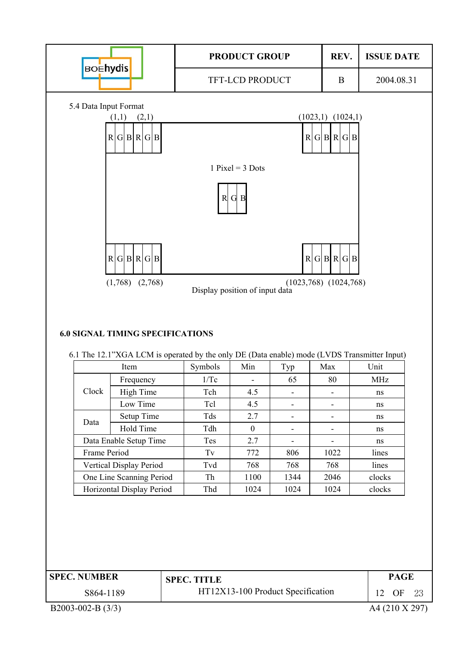

| <b>SPEC. NUMBER</b> | <b>SPEC. TITLE</b>                | <b>PAGE</b>     |
|---------------------|-----------------------------------|-----------------|
| S864-1189           | HT12X13-100 Product Specification | 12<br>OF<br>-23 |

Horizontal Display Period Thd 1024 1024 1024 clocks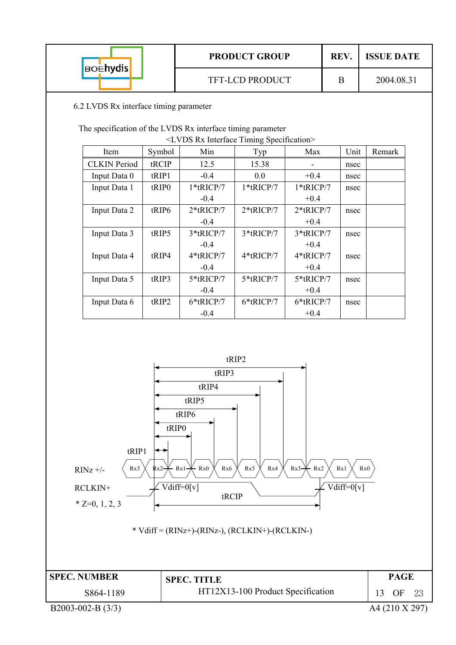| <b>BOENYdis</b> | <b>PRODUCT GROUP</b>   | <b>REV</b> | <b>ISSUE DATE</b> |
|-----------------|------------------------|------------|-------------------|
|                 | <b>TFT-LCD PRODUCT</b> | Β          | 2004.08.31        |
|                 |                        |            |                   |

6.2 LVDS Rx interface timing parameter

The specification of the LVDS Rx interface timing parameter

|                     |                   | <lvds interface="" rx="" specification="" timing=""></lvds> |              |              |      |        |
|---------------------|-------------------|-------------------------------------------------------------|--------------|--------------|------|--------|
| Item                | Symbol            | Min                                                         | Typ          | Max          | Unit | Remark |
| <b>CLKIN</b> Period | tRCIP             | 12.5                                                        | 15.38        |              | nsec |        |
| Input Data 0        | tRIP1             | $-0.4$                                                      | $0.0\,$      | $+0.4$       | nsec |        |
| Input Data 1        | tRIP <sub>0</sub> | $1*$ tRICP/7                                                | $1*$ tRICP/7 | $1*$ tRICP/7 | nsec |        |
|                     |                   | $-0.4$                                                      |              | $+0.4$       |      |        |
| Input Data 2        | tRIP6             | $2*$ tRICP/7                                                | $2*$ tRICP/7 | $2*$ tRICP/7 | nsec |        |
|                     |                   | $-0.4$                                                      |              | $+0.4$       |      |        |
| Input Data 3        | tRIP5             | 3*tRICP/7                                                   | 3*tRICP/7    | 3*tRICP/7    | nsec |        |
|                     |                   | $-0.4$                                                      |              | $+0.4$       |      |        |
| Input Data 4        | tRIP4             | 4*tRICP/7                                                   | 4*tRICP/7    | 4*tRICP/7    | nsec |        |
|                     |                   | $-0.4$                                                      |              | $+0.4$       |      |        |
| Input Data 5        | tRIP3             | 5*tRICP/7                                                   | 5*tRICP/7    | 5*tRICP/7    | nsec |        |
|                     |                   | $-0.4$                                                      |              | $+0.4$       |      |        |
| Input Data 6        | tRIP2             | 6*tRICP/7                                                   | 6*tRICP/7    | 6*tRICP/7    | nsec |        |
|                     |                   | $-0.4$                                                      |              | $+0.4$       |      |        |

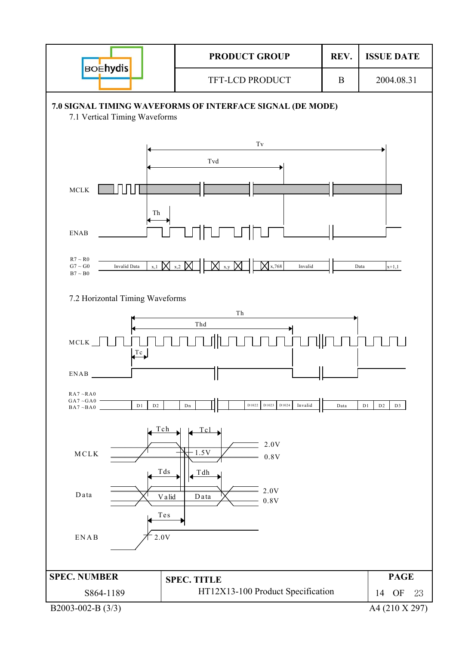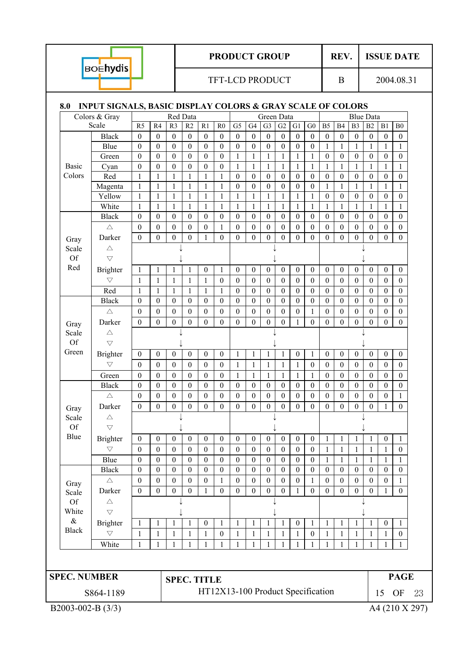| <b>BOEhydis</b> |
|-----------------|
|-----------------|

ı

## **PRODUCT GROUP** REV. ISSUE DATE

#### TFT-LCD PRODUCT B B 2004.08.31

## **8.0 INPUT SIGNALS, BASIC DISPLAY COLORS & GRAY SCALE OF COLORS**

| Red Data<br>Green Data<br>Colors & Gray<br><b>Blue Data</b><br>Scale<br>R <sub>5</sub><br>R2<br>R1<br>G1<br>R4<br>R <sub>3</sub><br>R <sub>0</sub><br>G <sub>5</sub><br>G4<br>G <sub>3</sub><br>G2<br>${\rm G0}$<br>B <sub>5</sub><br>B4<br>B <sub>3</sub><br>B2<br>B1<br>${\bf B0}$<br><b>Black</b><br>$\boldsymbol{0}$<br>$\mathbf{0}$<br>$\boldsymbol{0}$<br>$\boldsymbol{0}$<br>$\boldsymbol{0}$<br>$\boldsymbol{0}$<br>$\boldsymbol{0}$<br>$\boldsymbol{0}$<br>$\boldsymbol{0}$<br>$\boldsymbol{0}$<br>$\boldsymbol{0}$<br>$\boldsymbol{0}$<br>$\boldsymbol{0}$<br>$\mathbf{0}$<br>$\mathbf{0}$<br>$\boldsymbol{0}$<br>$\boldsymbol{0}$<br>$\boldsymbol{0}$<br>$\boldsymbol{0}$<br>$\boldsymbol{0}$<br>$\boldsymbol{0}$<br>$\boldsymbol{0}$<br>$\boldsymbol{0}$<br>$\boldsymbol{0}$<br>$\boldsymbol{0}$<br>$\boldsymbol{0}$<br>$\boldsymbol{0}$<br>$\mathbf{1}$<br>Blue<br>$\boldsymbol{0}$<br>$\boldsymbol{0}$<br>$\boldsymbol{0}$<br>$\mathbf{1}$<br>$\mathbf{1}$<br>$\mathbf{1}$<br>$\mathbf{1}$<br>1<br>$\boldsymbol{0}$<br>$\boldsymbol{0}$<br>$\boldsymbol{0}$<br>$\boldsymbol{0}$<br>$\boldsymbol{0}$<br>$\boldsymbol{0}$<br>$\boldsymbol{0}$<br>$\mathbf{1}$<br>1<br>$\mathbf{1}$<br>$\mathbf{1}$<br>1<br>1<br>$\boldsymbol{0}$<br>$\mathbf{0}$<br>$\theta$<br>$\boldsymbol{0}$<br>$\theta$<br>Green<br>$\boldsymbol{0}$<br>$\boldsymbol{0}$<br>$\mathbf{1}$<br>$\mathbf{1}$<br>$\boldsymbol{0}$<br>$\boldsymbol{0}$<br>$\boldsymbol{0}$<br>$\boldsymbol{0}$<br>$\mathbf{1}$<br>$\mathbf{1}$<br>$\mathbf{1}$<br>$\mathbf{1}$<br>$\mathbf{1}$<br>$\mathbf{1}$<br>$\mathbf{1}$<br>$\mathbf{1}$<br>$\mathbf{1}$<br>$\mathbf{1}$<br><b>Basic</b><br>Cyan<br>Red<br>$\mathbf{1}$<br>$\mathbf{1}$<br>$\mathbf{1}$<br>$\mathbf{1}$<br>$\boldsymbol{0}$<br>$\boldsymbol{0}$<br>$\boldsymbol{0}$<br>$\boldsymbol{0}$<br>$\boldsymbol{0}$<br>$\boldsymbol{0}$<br>$\boldsymbol{0}$<br>$\boldsymbol{0}$<br>1<br>$\mathbf{1}$<br>$\boldsymbol{0}$<br>$\boldsymbol{0}$<br>$\boldsymbol{0}$<br>$\boldsymbol{0}$<br>$\mathbf{1}$<br>$\mathbf{1}$<br>$\mathbf{1}$<br>$\mathbf{1}$<br>$\mathbf{1}$<br>$\mathbf{1}$<br>$\boldsymbol{0}$<br>$\boldsymbol{0}$<br>$\boldsymbol{0}$<br>$\boldsymbol{0}$<br>$\boldsymbol{0}$<br>$\boldsymbol{0}$<br>$\mathbf{1}$<br>$\mathbf{1}$<br>$\mathbf{1}$<br>$\mathbf{1}$<br>Magenta<br>1<br>1<br>Yellow<br>$\mathbf{1}$<br>$\boldsymbol{0}$<br>$\boldsymbol{0}$<br>$\boldsymbol{0}$<br>$\mathbf{1}$<br>1<br>1<br>1<br>$\mathbf{1}$<br>$\mathbf{1}$<br>$\mathbf{1}$<br>$\mathbf{1}$<br>1<br>1<br>$\boldsymbol{0}$<br>$\boldsymbol{0}$<br>$\boldsymbol{0}$<br>1<br>White<br>$\mathbf{1}$<br>$\mathbf{1}$<br>$\mathbf{1}$<br>$\mathbf{1}$<br>1<br>$\mathbf{1}$<br>$\mathbf{1}$<br>1<br>1<br>1<br>$\mathbf{1}$<br>$\mathbf{1}$<br>$\mathbf{1}$<br>1<br>1<br>1<br>1<br>1<br><b>Black</b><br>$\boldsymbol{0}$<br>$\mathbf{0}$<br>$\boldsymbol{0}$<br>$\mathbf{0}$<br>$\boldsymbol{0}$<br>$\mathbf{0}$<br>$\boldsymbol{0}$<br>$\boldsymbol{0}$<br>$\boldsymbol{0}$<br>$\boldsymbol{0}$<br>$\boldsymbol{0}$<br>$\mathbf{0}$<br>$\mathbf{0}$<br>$\mathbf{0}$<br>$\boldsymbol{0}$<br>$\boldsymbol{0}$<br>$\mathbf{0}$<br>$\mathbf{0}$<br>$\boldsymbol{0}$<br>$\boldsymbol{0}$<br>$\boldsymbol{0}$<br>$\boldsymbol{0}$<br>$\boldsymbol{0}$<br>$\boldsymbol{0}$<br>$\mathbf{1}$<br>$\boldsymbol{0}$<br>$\boldsymbol{0}$<br>$\boldsymbol{0}$<br>$\boldsymbol{0}$<br>$\boldsymbol{0}$<br>$\boldsymbol{0}$<br>$\boldsymbol{0}$<br>$\boldsymbol{0}$<br>$\boldsymbol{0}$<br>$\boldsymbol{0}$<br>$\boldsymbol{0}$<br>$\triangle$<br>$\boldsymbol{0}$<br>$\boldsymbol{0}$<br>$\overline{0}$<br>$\boldsymbol{0}$<br>Darker<br>$\boldsymbol{0}$<br>$\boldsymbol{0}$<br>$\boldsymbol{0}$<br>$\mathbf{1}$<br>$\mathbf{0}$<br>$\mathbf{0}$<br>$\boldsymbol{0}$<br>$\overline{0}$<br>$\mathbf{0}$<br>$\mathbf{0}$<br>$\boldsymbol{0}$<br>$\boldsymbol{0}$<br>$\boldsymbol{0}$<br>$\boldsymbol{0}$<br>Gray<br>$\triangle$<br>Scale<br>Of<br>$\bigtriangledown$<br>Red<br>$\boldsymbol{0}$<br>$\boldsymbol{0}$<br>$\boldsymbol{0}$<br>$\mathbf{0}$<br>$\boldsymbol{0}$<br>$\mathbf{0}$<br>$\mathbf{0}$<br>$\boldsymbol{0}$<br>$\boldsymbol{0}$<br><b>Brighter</b><br>$\mathbf{1}$<br>1<br>$\boldsymbol{0}$<br>$\boldsymbol{0}$<br>$\boldsymbol{0}$<br>$\boldsymbol{0}$<br>1<br>1<br>1<br>$\bigtriangledown$<br>1<br>$\mathbf{1}$<br>$\mathbf{1}$<br>1<br>$\boldsymbol{0}$<br>$\boldsymbol{0}$<br>$\theta$<br>$\boldsymbol{0}$<br>$\boldsymbol{0}$<br>$\boldsymbol{0}$<br>$\boldsymbol{0}$<br>$\mathbf{0}$<br>$\theta$<br>$\mathbf{0}$<br>$\theta$<br>$\boldsymbol{0}$<br>$\boldsymbol{0}$<br>1<br>Red<br>$\mathbf{1}$<br>$\mathbf{1}$<br>$\mathbf{1}$<br>$\mathbf{1}$<br>$\mathbf{1}$<br>$\mathbf{1}$<br>$\boldsymbol{0}$<br>$\boldsymbol{0}$<br>$\boldsymbol{0}$<br>$\boldsymbol{0}$<br>$\boldsymbol{0}$<br>$\boldsymbol{0}$<br>$\boldsymbol{0}$<br>$\mathbf{0}$<br>$\boldsymbol{0}$<br>$\boldsymbol{0}$<br>$\boldsymbol{0}$<br>$\boldsymbol{0}$<br>$\mathbf{0}$<br>$\boldsymbol{0}$<br>$\boldsymbol{0}$<br>$\boldsymbol{0}$<br>$\boldsymbol{0}$<br>$\boldsymbol{0}$<br>$\boldsymbol{0}$<br>$\boldsymbol{0}$<br>$\boldsymbol{0}$<br>$\boldsymbol{0}$<br>$\boldsymbol{0}$<br>$\boldsymbol{0}$<br>$\boldsymbol{0}$<br>$\boldsymbol{0}$<br>$\boldsymbol{0}$<br>$\boldsymbol{0}$<br>$\boldsymbol{0}$<br>$\boldsymbol{0}$<br><b>Black</b><br>$\boldsymbol{0}$<br>$\boldsymbol{0}$<br>$\boldsymbol{0}$<br>$\boldsymbol{0}$<br>$\boldsymbol{0}$<br>$\triangle$<br>$\boldsymbol{0}$<br>$\boldsymbol{0}$<br>$\boldsymbol{0}$<br>$\boldsymbol{0}$<br>$\boldsymbol{0}$<br>$\boldsymbol{0}$<br>$\boldsymbol{0}$<br>$\boldsymbol{0}$<br>$\boldsymbol{0}$<br>$\boldsymbol{0}$<br>$\boldsymbol{0}$<br>$\boldsymbol{0}$<br>1<br>$\boldsymbol{0}$<br>$\boldsymbol{0}$<br>$\boldsymbol{0}$<br>$\boldsymbol{0}$<br>$\boldsymbol{0}$<br>$\boldsymbol{0}$<br>$\boldsymbol{0}$<br>$\boldsymbol{0}$<br>$\boldsymbol{0}$<br>$\mathbf{0}$<br>$\boldsymbol{0}$<br>$\boldsymbol{0}$<br>$\boldsymbol{0}$<br>Darker<br>$\mathbf{0}$<br>$\mathbf{1}$<br>$\mathbf{0}$<br>$\mathbf{0}$<br>$\boldsymbol{0}$<br>Gray<br>Scale<br>$\triangle$<br>Of<br>$\bigtriangledown$<br>Green<br><b>Brighter</b><br>$\mathbf{0}$<br>$\boldsymbol{0}$<br>$\boldsymbol{0}$<br>$\mathbf{0}$<br>$\boldsymbol{0}$<br>$\boldsymbol{0}$<br>$\boldsymbol{0}$<br>$\boldsymbol{0}$<br>$\mathbf{0}$<br>$\boldsymbol{0}$<br>$\boldsymbol{0}$<br>-1<br>1<br>1<br>$\boldsymbol{0}$<br>$\mathbf{0}$<br>1<br>1<br>$\bigtriangledown$<br>$\mathbf{1}$<br>$\mathbf{0}$<br>$\mathbf{0}$<br>$\boldsymbol{0}$<br>$\mathbf{0}$<br>$\boldsymbol{0}$<br>$\boldsymbol{0}$<br>$\mathbf{1}$<br>$\mathbf{1}$<br>$\mathbf{1}$<br>$\mathbf{1}$<br>$\boldsymbol{0}$<br>$\boldsymbol{0}$<br>$\boldsymbol{0}$<br>$\boldsymbol{0}$<br>$\boldsymbol{0}$<br>$\boldsymbol{0}$<br>$\boldsymbol{0}$<br>$\boldsymbol{0}$<br>Green<br>$\boldsymbol{0}$<br>$\boldsymbol{0}$<br>$\mathbf{0}$<br>$\boldsymbol{0}$<br>$\boldsymbol{0}$<br>$\mathbf{1}$<br>$\mathbf{1}$<br>$\boldsymbol{0}$<br>$\mathbf{0}$<br>$\boldsymbol{0}$<br>$\boldsymbol{0}$<br>$\boldsymbol{0}$<br>$\mathbf{1}$<br>$\mathbf{1}$<br>$\mathbf{1}$<br>$\mathbf{1}$<br>$\mathbf{0}$<br>$\boldsymbol{0}$<br>$\boldsymbol{0}$<br>$\boldsymbol{0}$<br><b>Black</b><br>$\boldsymbol{0}$<br>$\boldsymbol{0}$<br>$\boldsymbol{0}$<br>$\boldsymbol{0}$<br>$\boldsymbol{0}$<br>$\boldsymbol{0}$<br>$\boldsymbol{0}$<br>$\boldsymbol{0}$<br>$\boldsymbol{0}$<br>$\boldsymbol{0}$<br>$\boldsymbol{0}$<br>$\mathbf{0}$<br>$\mathbf{0}$<br>$\boldsymbol{0}$<br>$\boldsymbol{0}$<br>$\triangle$<br>$\boldsymbol{0}$<br>$\boldsymbol{0}$<br>$\mathbf{0}$<br>$\boldsymbol{0}$<br>$\boldsymbol{0}$<br>$\boldsymbol{0}$<br>$\boldsymbol{0}$<br>$\boldsymbol{0}$<br>$\boldsymbol{0}$<br>$\boldsymbol{0}$<br>$\boldsymbol{0}$<br>$\boldsymbol{0}$<br>$\boldsymbol{0}$<br>$\boldsymbol{0}$<br>$\boldsymbol{0}$<br>$\boldsymbol{0}$<br>$\boldsymbol{0}$<br>$\mathbf{1}$<br>$\boldsymbol{0}$<br>$\mathbf{0}$<br>$\mathbf{0}$<br>$\boldsymbol{0}$<br>$\boldsymbol{0}$<br>$\mathbf{0}$<br>$\mathbf{0}$<br>$\boldsymbol{0}$<br>$\mathbf{0}$<br>$\boldsymbol{0}$<br>$\mathbf{0}$<br>$\mathbf{0}$<br>$\boldsymbol{0}$<br>$\mathbf{0}$<br>$\boldsymbol{0}$<br>$\boldsymbol{0}$<br>Darker<br>$\theta$<br>$\mathbf{1}$<br>Gray<br>Scale<br>$\triangle$<br>Of<br>$\bigtriangledown$<br>Blue<br>$\boldsymbol{0}$<br>$\boldsymbol{0}$<br>$\boldsymbol{0}$<br>$\boldsymbol{0}$<br>$\boldsymbol{0}$<br>$\boldsymbol{0}$<br>$\boldsymbol{0}$<br>$\boldsymbol{0}$<br>$\boldsymbol{0}$<br>$\boldsymbol{0}$<br>$\boldsymbol{0}$<br>$\mathbf{1}$<br>$\mathbf{1}$<br><b>Brighter</b><br>$\mathbf{0}$<br>1<br>$\boldsymbol{0}$<br>1<br>1<br>$\bigtriangledown$<br>$\boldsymbol{0}$<br>$\boldsymbol{0}$<br>$\mathbf{0}$<br>$\mathbf{0}$<br>$\mathbf{0}$<br>$\mathbf{0}$<br>$\mathbf{0}$<br>$\mathbf{0}$<br>$\mathbf{0}$<br>$\mathbf{0}$<br>$\boldsymbol{0}$<br>$\theta$<br>$\theta$<br>1<br>$\mathbf{1}$<br>1<br>1<br>1<br>Blue<br>$\boldsymbol{0}$<br>$\boldsymbol{0}$<br>$\boldsymbol{0}$<br>$\boldsymbol{0}$<br>$\boldsymbol{0}$<br>$\boldsymbol{0}$<br>$\boldsymbol{0}$<br>$\boldsymbol{0}$<br>$\boldsymbol{0}$<br>$\boldsymbol{0}$<br>$\boldsymbol{0}$<br>$\boldsymbol{0}$<br>$\mathbf{1}$<br>$\mathbf{1}$<br>$\mathbf{1}$<br>$\mathbf{1}$<br>$\mathbf{1}$<br>$\mathbf{1}$<br><b>Black</b><br>$\boldsymbol{0}$<br>$\boldsymbol{0}$<br>$\boldsymbol{0}$<br>$\boldsymbol{0}$<br>$\boldsymbol{0}$<br>$\boldsymbol{0}$<br>$\boldsymbol{0}$<br>$\boldsymbol{0}$<br>$\boldsymbol{0}$<br>$\boldsymbol{0}$<br>$\boldsymbol{0}$<br>$\boldsymbol{0}$<br>$\boldsymbol{0}$<br>$\boldsymbol{0}$<br>$\boldsymbol{0}$<br>$\boldsymbol{0}$<br>$\boldsymbol{0}$<br>$\boldsymbol{0}$<br>$\boldsymbol{0}$<br>$\boldsymbol{0}$<br>$\boldsymbol{0}$<br>$\boldsymbol{0}$<br>$\boldsymbol{0}$<br>$\boldsymbol{0}$<br>$\boldsymbol{0}$<br>$\boldsymbol{0}$<br>$\boldsymbol{0}$<br>$\boldsymbol{0}$<br>$\boldsymbol{0}$<br>$\boldsymbol{0}$<br>$\boldsymbol{0}$<br>$\boldsymbol{0}$<br>$\boldsymbol{0}$<br>$\triangle$<br>$\mathbf{1}$<br>$\mathbf{1}$<br>1<br>Gray<br>Darker<br>$\boldsymbol{0}$<br>$\boldsymbol{0}$<br>$\boldsymbol{0}$<br>$\boldsymbol{0}$<br>$\boldsymbol{0}$<br>$\boldsymbol{0}$<br>$\mathbf{1}$<br>$\boldsymbol{0}$<br>$\boldsymbol{0}$<br>$\boldsymbol{0}$<br>$\boldsymbol{0}$<br>$\boldsymbol{0}$<br>$\mathbf{0}$<br>$\boldsymbol{0}$<br>$\boldsymbol{0}$<br>$\boldsymbol{0}$<br>1<br>1<br>Scale<br>Of<br>$\triangle$<br>White<br>$\bigtriangledown$<br>$\&$<br><b>Brighter</b><br>$\boldsymbol{0}$<br>$\mathbf{1}$<br>$\boldsymbol{0}$<br>$\mathbf{1}$<br>$\mathbf{1}$<br>$\mathbf{1}$<br>1<br>$\mathbf{1}$<br>1<br>$\boldsymbol{0}$<br>$\mathbf{1}$<br>1<br>1<br>1<br>1<br>1<br>1<br>$\triangledown$<br>$\mathbf{1}$<br>$\mathbf{1}$<br>$\mathbf{1}$<br>$\boldsymbol{0}$<br>$\boldsymbol{0}$<br>$\mathbf{1}$<br>$\mathbf{1}$<br>$\mathbf{1}$<br>$\mathbf{1}$<br>$\mathbf{1}$<br>$\mathbf{1}$<br>$\mathbf{1}$<br>$\mathbf{1}$<br>$\mathbf{1}$<br>$\mathbf{1}$<br>$\boldsymbol{0}$<br>1<br>$\mathbf{1}$<br>White<br>$\mathbf{1}$<br>$\mathbf{1}$<br>$\mathbf{1}$<br>$\mathbf{1}$<br>$\mathbf{1}$<br>$\mathbf{1}$<br>$\mathbf{1}$<br>$\mathbf{1}$<br>$\mathbf{1}$<br>$\mathbf{1}$<br>1<br>$\mathbf{1}$<br>1<br>1<br>1<br>1<br>$\mathbf{1}$<br>$\mathbf{1}$<br><b>SPEC. NUMBER</b><br><b>PAGE</b><br><b>SPEC. TITLE</b><br>HT12X13-100 Product Specification<br>S864-1189<br>15<br><b>OF</b><br>B2003-002-B (3/3)<br>A4 (210 X 297) |              |  |  |  |  |  |  |  |  |  |  |  |  |
|-----------------------------------------------------------------------------------------------------------------------------------------------------------------------------------------------------------------------------------------------------------------------------------------------------------------------------------------------------------------------------------------------------------------------------------------------------------------------------------------------------------------------------------------------------------------------------------------------------------------------------------------------------------------------------------------------------------------------------------------------------------------------------------------------------------------------------------------------------------------------------------------------------------------------------------------------------------------------------------------------------------------------------------------------------------------------------------------------------------------------------------------------------------------------------------------------------------------------------------------------------------------------------------------------------------------------------------------------------------------------------------------------------------------------------------------------------------------------------------------------------------------------------------------------------------------------------------------------------------------------------------------------------------------------------------------------------------------------------------------------------------------------------------------------------------------------------------------------------------------------------------------------------------------------------------------------------------------------------------------------------------------------------------------------------------------------------------------------------------------------------------------------------------------------------------------------------------------------------------------------------------------------------------------------------------------------------------------------------------------------------------------------------------------------------------------------------------------------------------------------------------------------------------------------------------------------------------------------------------------------------------------------------------------------------------------------------------------------------------------------------------------------------------------------------------------------------------------------------------------------------------------------------------------------------------------------------------------------------------------------------------------------------------------------------------------------------------------------------------------------------------------------------------------------------------------------------------------------------------------------------------------------------------------------------------------------------------------------------------------------------------------------------------------------------------------------------------------------------------------------------------------------------------------------------------------------------------------------------------------------------------------------------------------------------------------------------------------------------------------------------------------------------------------------------------------------------------------------------------------------------------------------------------------------------------------------------------------------------------------------------------------------------------------------------------------------------------------------------------------------------------------------------------------------------------------------------------------------------------------------------------------------------------------------------------------------------------------------------------------------------------------------------------------------------------------------------------------------------------------------------------------------------------------------------------------------------------------------------------------------------------------------------------------------------------------------------------------------------------------------------------------------------------------------------------------------------------------------------------------------------------------------------------------------------------------------------------------------------------------------------------------------------------------------------------------------------------------------------------------------------------------------------------------------------------------------------------------------------------------------------------------------------------------------------------------------------------------------------------------------------------------------------------------------------------------------------------------------------------------------------------------------------------------------------------------------------------------------------------------------------------------------------------------------------------------------------------------------------------------------------------------------------------------------------------------------------------------------------------------------------------------------------------------------------------------------------------------------------------------------------------------------------------------------------------------------------------------------------------------------------------------------------------------------------------------------------------------------------------------------------------------------------------------------------------------------------------------------------------------------------------------------------------------------------------------------------------------------------------------------------------------------------------------------------------------------------------------------------------------------------------------------------------------------------------------------------------------------------------------------------------------------------------------------------------------------------------------------------------------------------------------------------------------------------------------------------------------------------------------------------------------------------------------------------------------------------------------------------------------------------------------------------------------------------------------------------------------------------------------------------------------------------------------------------------------------------------------------------------------------------------------------------------------------------------------------------------------------------------------------------------------------------------------------------------------------------------------------------------------------------------------------------------------------------------------------------------------------------------------------------------------------------------------------------------------------------------------------------------------------------------------------------------------------------------------------------------------------------------------------------------------------------------------------------------------------------------------------------------------------------------------------------------------------------------------------------------------------------------------------------------------------------------------------------------------------------------------------------------------------------------------------------------------------------------------------------------------------------------------------------------------------------------------------------------------------------------------------------------------------------------------------------------------------------------------------------------------------------------------------------------------------------------------------------------------------------------------------------------------------------------------------------------------------------------------------------------------------------------------------------------------------------------------------------------------------------------------------------------------------------------------------------------------------------------------------------------------------------------------------------------------------------------------------------------------------------------------------------------------------------------------------------------------------------------------------------------------------------------------------------------------------------------------------------------------------------------------------------------------------------------------------------------------------------------------------------------------------------------------------------------------------------------------------------------------------------------------------------------------------------------------------------------------------------------------------------------------------------------------------------------------------------------------------------------------------------------------------------------------------------------------------------------------------------------------------------------------------------------------------------------------------------------------------------------------------------------------------------------------------------------------------------------------------------------------------------------------------------------------------------------------------------------------------------------------------------------------------------------------------------------------------------------------------------------------------------------------------------------------------------------------------------------------------------------------------------------------------------------------------------------------------------------------------------------------------------------------------------------------------------------------------------------------------------------------------------------------------------------------------------------------------------------------------------------------------------------------------------------------------------------------------------------------------------------------------------------------------------------------------------------------------------------------------------------------------------------------------|--------------|--|--|--|--|--|--|--|--|--|--|--|--|
|                                                                                                                                                                                                                                                                                                                                                                                                                                                                                                                                                                                                                                                                                                                                                                                                                                                                                                                                                                                                                                                                                                                                                                                                                                                                                                                                                                                                                                                                                                                                                                                                                                                                                                                                                                                                                                                                                                                                                                                                                                                                                                                                                                                                                                                                                                                                                                                                                                                                                                                                                                                                                                                                                                                                                                                                                                                                                                                                                                                                                                                                                                                                                                                                                                                                                                                                                                                                                                                                                                                                                                                                                                                                                                                                                                                                                                                                                                                                                                                                                                                                                                                                                                                                                                                                                                                                                                                                                                                                                                                                                                                                                                                                                                                                                                                                                                                                                                                                                                                                                                                                                                                                                                                                                                                                                                                                                                                                                                                                                                                                                                                                                                                                                                                                                                                                                                                                                                                                                                                                                                                                                                                                                                                                                                                                                                                                                                                                                                                                                                                                                                                                                                                                                                                                                                                                                                                                                                                                                                                                                                                                                                                                                                                                                                                                                                                                                                                                                                                                                                                                                                                                                                                                                                                                                                                                                                                                                                                                                                                                                                                                                                                                                                                                                                                                                                                                                                                                                                                                                                                                                                                                                                                                                                                                                                                                                                                                                                                                                                                                                                                                                                                                                                                                                                                                                                                                                                                                                                                                                                                                                                                                                                                                                                                                                                                                                                                                                                                                                                                                                                                                                                                                                                                                                                                                                                                                                                                                                                                                                                                                                                                                                                                                                                                                                                                                                                                                                                                                                                                                                                                                                                                                                                                                                                                                                                                                                                                                                                                                       |              |  |  |  |  |  |  |  |  |  |  |  |  |
|                                                                                                                                                                                                                                                                                                                                                                                                                                                                                                                                                                                                                                                                                                                                                                                                                                                                                                                                                                                                                                                                                                                                                                                                                                                                                                                                                                                                                                                                                                                                                                                                                                                                                                                                                                                                                                                                                                                                                                                                                                                                                                                                                                                                                                                                                                                                                                                                                                                                                                                                                                                                                                                                                                                                                                                                                                                                                                                                                                                                                                                                                                                                                                                                                                                                                                                                                                                                                                                                                                                                                                                                                                                                                                                                                                                                                                                                                                                                                                                                                                                                                                                                                                                                                                                                                                                                                                                                                                                                                                                                                                                                                                                                                                                                                                                                                                                                                                                                                                                                                                                                                                                                                                                                                                                                                                                                                                                                                                                                                                                                                                                                                                                                                                                                                                                                                                                                                                                                                                                                                                                                                                                                                                                                                                                                                                                                                                                                                                                                                                                                                                                                                                                                                                                                                                                                                                                                                                                                                                                                                                                                                                                                                                                                                                                                                                                                                                                                                                                                                                                                                                                                                                                                                                                                                                                                                                                                                                                                                                                                                                                                                                                                                                                                                                                                                                                                                                                                                                                                                                                                                                                                                                                                                                                                                                                                                                                                                                                                                                                                                                                                                                                                                                                                                                                                                                                                                                                                                                                                                                                                                                                                                                                                                                                                                                                                                                                                                                                                                                                                                                                                                                                                                                                                                                                                                                                                                                                                                                                                                                                                                                                                                                                                                                                                                                                                                                                                                                                                                                                                                                                                                                                                                                                                                                                                                                                                                                                                                                                                       |              |  |  |  |  |  |  |  |  |  |  |  |  |
|                                                                                                                                                                                                                                                                                                                                                                                                                                                                                                                                                                                                                                                                                                                                                                                                                                                                                                                                                                                                                                                                                                                                                                                                                                                                                                                                                                                                                                                                                                                                                                                                                                                                                                                                                                                                                                                                                                                                                                                                                                                                                                                                                                                                                                                                                                                                                                                                                                                                                                                                                                                                                                                                                                                                                                                                                                                                                                                                                                                                                                                                                                                                                                                                                                                                                                                                                                                                                                                                                                                                                                                                                                                                                                                                                                                                                                                                                                                                                                                                                                                                                                                                                                                                                                                                                                                                                                                                                                                                                                                                                                                                                                                                                                                                                                                                                                                                                                                                                                                                                                                                                                                                                                                                                                                                                                                                                                                                                                                                                                                                                                                                                                                                                                                                                                                                                                                                                                                                                                                                                                                                                                                                                                                                                                                                                                                                                                                                                                                                                                                                                                                                                                                                                                                                                                                                                                                                                                                                                                                                                                                                                                                                                                                                                                                                                                                                                                                                                                                                                                                                                                                                                                                                                                                                                                                                                                                                                                                                                                                                                                                                                                                                                                                                                                                                                                                                                                                                                                                                                                                                                                                                                                                                                                                                                                                                                                                                                                                                                                                                                                                                                                                                                                                                                                                                                                                                                                                                                                                                                                                                                                                                                                                                                                                                                                                                                                                                                                                                                                                                                                                                                                                                                                                                                                                                                                                                                                                                                                                                                                                                                                                                                                                                                                                                                                                                                                                                                                                                                                                                                                                                                                                                                                                                                                                                                                                                                                                                                                                                       |              |  |  |  |  |  |  |  |  |  |  |  |  |
|                                                                                                                                                                                                                                                                                                                                                                                                                                                                                                                                                                                                                                                                                                                                                                                                                                                                                                                                                                                                                                                                                                                                                                                                                                                                                                                                                                                                                                                                                                                                                                                                                                                                                                                                                                                                                                                                                                                                                                                                                                                                                                                                                                                                                                                                                                                                                                                                                                                                                                                                                                                                                                                                                                                                                                                                                                                                                                                                                                                                                                                                                                                                                                                                                                                                                                                                                                                                                                                                                                                                                                                                                                                                                                                                                                                                                                                                                                                                                                                                                                                                                                                                                                                                                                                                                                                                                                                                                                                                                                                                                                                                                                                                                                                                                                                                                                                                                                                                                                                                                                                                                                                                                                                                                                                                                                                                                                                                                                                                                                                                                                                                                                                                                                                                                                                                                                                                                                                                                                                                                                                                                                                                                                                                                                                                                                                                                                                                                                                                                                                                                                                                                                                                                                                                                                                                                                                                                                                                                                                                                                                                                                                                                                                                                                                                                                                                                                                                                                                                                                                                                                                                                                                                                                                                                                                                                                                                                                                                                                                                                                                                                                                                                                                                                                                                                                                                                                                                                                                                                                                                                                                                                                                                                                                                                                                                                                                                                                                                                                                                                                                                                                                                                                                                                                                                                                                                                                                                                                                                                                                                                                                                                                                                                                                                                                                                                                                                                                                                                                                                                                                                                                                                                                                                                                                                                                                                                                                                                                                                                                                                                                                                                                                                                                                                                                                                                                                                                                                                                                                                                                                                                                                                                                                                                                                                                                                                                                                                                                                                       |              |  |  |  |  |  |  |  |  |  |  |  |  |
|                                                                                                                                                                                                                                                                                                                                                                                                                                                                                                                                                                                                                                                                                                                                                                                                                                                                                                                                                                                                                                                                                                                                                                                                                                                                                                                                                                                                                                                                                                                                                                                                                                                                                                                                                                                                                                                                                                                                                                                                                                                                                                                                                                                                                                                                                                                                                                                                                                                                                                                                                                                                                                                                                                                                                                                                                                                                                                                                                                                                                                                                                                                                                                                                                                                                                                                                                                                                                                                                                                                                                                                                                                                                                                                                                                                                                                                                                                                                                                                                                                                                                                                                                                                                                                                                                                                                                                                                                                                                                                                                                                                                                                                                                                                                                                                                                                                                                                                                                                                                                                                                                                                                                                                                                                                                                                                                                                                                                                                                                                                                                                                                                                                                                                                                                                                                                                                                                                                                                                                                                                                                                                                                                                                                                                                                                                                                                                                                                                                                                                                                                                                                                                                                                                                                                                                                                                                                                                                                                                                                                                                                                                                                                                                                                                                                                                                                                                                                                                                                                                                                                                                                                                                                                                                                                                                                                                                                                                                                                                                                                                                                                                                                                                                                                                                                                                                                                                                                                                                                                                                                                                                                                                                                                                                                                                                                                                                                                                                                                                                                                                                                                                                                                                                                                                                                                                                                                                                                                                                                                                                                                                                                                                                                                                                                                                                                                                                                                                                                                                                                                                                                                                                                                                                                                                                                                                                                                                                                                                                                                                                                                                                                                                                                                                                                                                                                                                                                                                                                                                                                                                                                                                                                                                                                                                                                                                                                                                                                                                                                       |              |  |  |  |  |  |  |  |  |  |  |  |  |
|                                                                                                                                                                                                                                                                                                                                                                                                                                                                                                                                                                                                                                                                                                                                                                                                                                                                                                                                                                                                                                                                                                                                                                                                                                                                                                                                                                                                                                                                                                                                                                                                                                                                                                                                                                                                                                                                                                                                                                                                                                                                                                                                                                                                                                                                                                                                                                                                                                                                                                                                                                                                                                                                                                                                                                                                                                                                                                                                                                                                                                                                                                                                                                                                                                                                                                                                                                                                                                                                                                                                                                                                                                                                                                                                                                                                                                                                                                                                                                                                                                                                                                                                                                                                                                                                                                                                                                                                                                                                                                                                                                                                                                                                                                                                                                                                                                                                                                                                                                                                                                                                                                                                                                                                                                                                                                                                                                                                                                                                                                                                                                                                                                                                                                                                                                                                                                                                                                                                                                                                                                                                                                                                                                                                                                                                                                                                                                                                                                                                                                                                                                                                                                                                                                                                                                                                                                                                                                                                                                                                                                                                                                                                                                                                                                                                                                                                                                                                                                                                                                                                                                                                                                                                                                                                                                                                                                                                                                                                                                                                                                                                                                                                                                                                                                                                                                                                                                                                                                                                                                                                                                                                                                                                                                                                                                                                                                                                                                                                                                                                                                                                                                                                                                                                                                                                                                                                                                                                                                                                                                                                                                                                                                                                                                                                                                                                                                                                                                                                                                                                                                                                                                                                                                                                                                                                                                                                                                                                                                                                                                                                                                                                                                                                                                                                                                                                                                                                                                                                                                                                                                                                                                                                                                                                                                                                                                                                                                                                                                                                       | Colors       |  |  |  |  |  |  |  |  |  |  |  |  |
|                                                                                                                                                                                                                                                                                                                                                                                                                                                                                                                                                                                                                                                                                                                                                                                                                                                                                                                                                                                                                                                                                                                                                                                                                                                                                                                                                                                                                                                                                                                                                                                                                                                                                                                                                                                                                                                                                                                                                                                                                                                                                                                                                                                                                                                                                                                                                                                                                                                                                                                                                                                                                                                                                                                                                                                                                                                                                                                                                                                                                                                                                                                                                                                                                                                                                                                                                                                                                                                                                                                                                                                                                                                                                                                                                                                                                                                                                                                                                                                                                                                                                                                                                                                                                                                                                                                                                                                                                                                                                                                                                                                                                                                                                                                                                                                                                                                                                                                                                                                                                                                                                                                                                                                                                                                                                                                                                                                                                                                                                                                                                                                                                                                                                                                                                                                                                                                                                                                                                                                                                                                                                                                                                                                                                                                                                                                                                                                                                                                                                                                                                                                                                                                                                                                                                                                                                                                                                                                                                                                                                                                                                                                                                                                                                                                                                                                                                                                                                                                                                                                                                                                                                                                                                                                                                                                                                                                                                                                                                                                                                                                                                                                                                                                                                                                                                                                                                                                                                                                                                                                                                                                                                                                                                                                                                                                                                                                                                                                                                                                                                                                                                                                                                                                                                                                                                                                                                                                                                                                                                                                                                                                                                                                                                                                                                                                                                                                                                                                                                                                                                                                                                                                                                                                                                                                                                                                                                                                                                                                                                                                                                                                                                                                                                                                                                                                                                                                                                                                                                                                                                                                                                                                                                                                                                                                                                                                                                                                                                                                                       |              |  |  |  |  |  |  |  |  |  |  |  |  |
|                                                                                                                                                                                                                                                                                                                                                                                                                                                                                                                                                                                                                                                                                                                                                                                                                                                                                                                                                                                                                                                                                                                                                                                                                                                                                                                                                                                                                                                                                                                                                                                                                                                                                                                                                                                                                                                                                                                                                                                                                                                                                                                                                                                                                                                                                                                                                                                                                                                                                                                                                                                                                                                                                                                                                                                                                                                                                                                                                                                                                                                                                                                                                                                                                                                                                                                                                                                                                                                                                                                                                                                                                                                                                                                                                                                                                                                                                                                                                                                                                                                                                                                                                                                                                                                                                                                                                                                                                                                                                                                                                                                                                                                                                                                                                                                                                                                                                                                                                                                                                                                                                                                                                                                                                                                                                                                                                                                                                                                                                                                                                                                                                                                                                                                                                                                                                                                                                                                                                                                                                                                                                                                                                                                                                                                                                                                                                                                                                                                                                                                                                                                                                                                                                                                                                                                                                                                                                                                                                                                                                                                                                                                                                                                                                                                                                                                                                                                                                                                                                                                                                                                                                                                                                                                                                                                                                                                                                                                                                                                                                                                                                                                                                                                                                                                                                                                                                                                                                                                                                                                                                                                                                                                                                                                                                                                                                                                                                                                                                                                                                                                                                                                                                                                                                                                                                                                                                                                                                                                                                                                                                                                                                                                                                                                                                                                                                                                                                                                                                                                                                                                                                                                                                                                                                                                                                                                                                                                                                                                                                                                                                                                                                                                                                                                                                                                                                                                                                                                                                                                                                                                                                                                                                                                                                                                                                                                                                                                                                                                                       |              |  |  |  |  |  |  |  |  |  |  |  |  |
|                                                                                                                                                                                                                                                                                                                                                                                                                                                                                                                                                                                                                                                                                                                                                                                                                                                                                                                                                                                                                                                                                                                                                                                                                                                                                                                                                                                                                                                                                                                                                                                                                                                                                                                                                                                                                                                                                                                                                                                                                                                                                                                                                                                                                                                                                                                                                                                                                                                                                                                                                                                                                                                                                                                                                                                                                                                                                                                                                                                                                                                                                                                                                                                                                                                                                                                                                                                                                                                                                                                                                                                                                                                                                                                                                                                                                                                                                                                                                                                                                                                                                                                                                                                                                                                                                                                                                                                                                                                                                                                                                                                                                                                                                                                                                                                                                                                                                                                                                                                                                                                                                                                                                                                                                                                                                                                                                                                                                                                                                                                                                                                                                                                                                                                                                                                                                                                                                                                                                                                                                                                                                                                                                                                                                                                                                                                                                                                                                                                                                                                                                                                                                                                                                                                                                                                                                                                                                                                                                                                                                                                                                                                                                                                                                                                                                                                                                                                                                                                                                                                                                                                                                                                                                                                                                                                                                                                                                                                                                                                                                                                                                                                                                                                                                                                                                                                                                                                                                                                                                                                                                                                                                                                                                                                                                                                                                                                                                                                                                                                                                                                                                                                                                                                                                                                                                                                                                                                                                                                                                                                                                                                                                                                                                                                                                                                                                                                                                                                                                                                                                                                                                                                                                                                                                                                                                                                                                                                                                                                                                                                                                                                                                                                                                                                                                                                                                                                                                                                                                                                                                                                                                                                                                                                                                                                                                                                                                                                                                                                                       |              |  |  |  |  |  |  |  |  |  |  |  |  |
|                                                                                                                                                                                                                                                                                                                                                                                                                                                                                                                                                                                                                                                                                                                                                                                                                                                                                                                                                                                                                                                                                                                                                                                                                                                                                                                                                                                                                                                                                                                                                                                                                                                                                                                                                                                                                                                                                                                                                                                                                                                                                                                                                                                                                                                                                                                                                                                                                                                                                                                                                                                                                                                                                                                                                                                                                                                                                                                                                                                                                                                                                                                                                                                                                                                                                                                                                                                                                                                                                                                                                                                                                                                                                                                                                                                                                                                                                                                                                                                                                                                                                                                                                                                                                                                                                                                                                                                                                                                                                                                                                                                                                                                                                                                                                                                                                                                                                                                                                                                                                                                                                                                                                                                                                                                                                                                                                                                                                                                                                                                                                                                                                                                                                                                                                                                                                                                                                                                                                                                                                                                                                                                                                                                                                                                                                                                                                                                                                                                                                                                                                                                                                                                                                                                                                                                                                                                                                                                                                                                                                                                                                                                                                                                                                                                                                                                                                                                                                                                                                                                                                                                                                                                                                                                                                                                                                                                                                                                                                                                                                                                                                                                                                                                                                                                                                                                                                                                                                                                                                                                                                                                                                                                                                                                                                                                                                                                                                                                                                                                                                                                                                                                                                                                                                                                                                                                                                                                                                                                                                                                                                                                                                                                                                                                                                                                                                                                                                                                                                                                                                                                                                                                                                                                                                                                                                                                                                                                                                                                                                                                                                                                                                                                                                                                                                                                                                                                                                                                                                                                                                                                                                                                                                                                                                                                                                                                                                                                                                                                                       |              |  |  |  |  |  |  |  |  |  |  |  |  |
|                                                                                                                                                                                                                                                                                                                                                                                                                                                                                                                                                                                                                                                                                                                                                                                                                                                                                                                                                                                                                                                                                                                                                                                                                                                                                                                                                                                                                                                                                                                                                                                                                                                                                                                                                                                                                                                                                                                                                                                                                                                                                                                                                                                                                                                                                                                                                                                                                                                                                                                                                                                                                                                                                                                                                                                                                                                                                                                                                                                                                                                                                                                                                                                                                                                                                                                                                                                                                                                                                                                                                                                                                                                                                                                                                                                                                                                                                                                                                                                                                                                                                                                                                                                                                                                                                                                                                                                                                                                                                                                                                                                                                                                                                                                                                                                                                                                                                                                                                                                                                                                                                                                                                                                                                                                                                                                                                                                                                                                                                                                                                                                                                                                                                                                                                                                                                                                                                                                                                                                                                                                                                                                                                                                                                                                                                                                                                                                                                                                                                                                                                                                                                                                                                                                                                                                                                                                                                                                                                                                                                                                                                                                                                                                                                                                                                                                                                                                                                                                                                                                                                                                                                                                                                                                                                                                                                                                                                                                                                                                                                                                                                                                                                                                                                                                                                                                                                                                                                                                                                                                                                                                                                                                                                                                                                                                                                                                                                                                                                                                                                                                                                                                                                                                                                                                                                                                                                                                                                                                                                                                                                                                                                                                                                                                                                                                                                                                                                                                                                                                                                                                                                                                                                                                                                                                                                                                                                                                                                                                                                                                                                                                                                                                                                                                                                                                                                                                                                                                                                                                                                                                                                                                                                                                                                                                                                                                                                                                                                                                                       |              |  |  |  |  |  |  |  |  |  |  |  |  |
|                                                                                                                                                                                                                                                                                                                                                                                                                                                                                                                                                                                                                                                                                                                                                                                                                                                                                                                                                                                                                                                                                                                                                                                                                                                                                                                                                                                                                                                                                                                                                                                                                                                                                                                                                                                                                                                                                                                                                                                                                                                                                                                                                                                                                                                                                                                                                                                                                                                                                                                                                                                                                                                                                                                                                                                                                                                                                                                                                                                                                                                                                                                                                                                                                                                                                                                                                                                                                                                                                                                                                                                                                                                                                                                                                                                                                                                                                                                                                                                                                                                                                                                                                                                                                                                                                                                                                                                                                                                                                                                                                                                                                                                                                                                                                                                                                                                                                                                                                                                                                                                                                                                                                                                                                                                                                                                                                                                                                                                                                                                                                                                                                                                                                                                                                                                                                                                                                                                                                                                                                                                                                                                                                                                                                                                                                                                                                                                                                                                                                                                                                                                                                                                                                                                                                                                                                                                                                                                                                                                                                                                                                                                                                                                                                                                                                                                                                                                                                                                                                                                                                                                                                                                                                                                                                                                                                                                                                                                                                                                                                                                                                                                                                                                                                                                                                                                                                                                                                                                                                                                                                                                                                                                                                                                                                                                                                                                                                                                                                                                                                                                                                                                                                                                                                                                                                                                                                                                                                                                                                                                                                                                                                                                                                                                                                                                                                                                                                                                                                                                                                                                                                                                                                                                                                                                                                                                                                                                                                                                                                                                                                                                                                                                                                                                                                                                                                                                                                                                                                                                                                                                                                                                                                                                                                                                                                                                                                                                                                                                                       |              |  |  |  |  |  |  |  |  |  |  |  |  |
|                                                                                                                                                                                                                                                                                                                                                                                                                                                                                                                                                                                                                                                                                                                                                                                                                                                                                                                                                                                                                                                                                                                                                                                                                                                                                                                                                                                                                                                                                                                                                                                                                                                                                                                                                                                                                                                                                                                                                                                                                                                                                                                                                                                                                                                                                                                                                                                                                                                                                                                                                                                                                                                                                                                                                                                                                                                                                                                                                                                                                                                                                                                                                                                                                                                                                                                                                                                                                                                                                                                                                                                                                                                                                                                                                                                                                                                                                                                                                                                                                                                                                                                                                                                                                                                                                                                                                                                                                                                                                                                                                                                                                                                                                                                                                                                                                                                                                                                                                                                                                                                                                                                                                                                                                                                                                                                                                                                                                                                                                                                                                                                                                                                                                                                                                                                                                                                                                                                                                                                                                                                                                                                                                                                                                                                                                                                                                                                                                                                                                                                                                                                                                                                                                                                                                                                                                                                                                                                                                                                                                                                                                                                                                                                                                                                                                                                                                                                                                                                                                                                                                                                                                                                                                                                                                                                                                                                                                                                                                                                                                                                                                                                                                                                                                                                                                                                                                                                                                                                                                                                                                                                                                                                                                                                                                                                                                                                                                                                                                                                                                                                                                                                                                                                                                                                                                                                                                                                                                                                                                                                                                                                                                                                                                                                                                                                                                                                                                                                                                                                                                                                                                                                                                                                                                                                                                                                                                                                                                                                                                                                                                                                                                                                                                                                                                                                                                                                                                                                                                                                                                                                                                                                                                                                                                                                                                                                                                                                                                                                                       |              |  |  |  |  |  |  |  |  |  |  |  |  |
|                                                                                                                                                                                                                                                                                                                                                                                                                                                                                                                                                                                                                                                                                                                                                                                                                                                                                                                                                                                                                                                                                                                                                                                                                                                                                                                                                                                                                                                                                                                                                                                                                                                                                                                                                                                                                                                                                                                                                                                                                                                                                                                                                                                                                                                                                                                                                                                                                                                                                                                                                                                                                                                                                                                                                                                                                                                                                                                                                                                                                                                                                                                                                                                                                                                                                                                                                                                                                                                                                                                                                                                                                                                                                                                                                                                                                                                                                                                                                                                                                                                                                                                                                                                                                                                                                                                                                                                                                                                                                                                                                                                                                                                                                                                                                                                                                                                                                                                                                                                                                                                                                                                                                                                                                                                                                                                                                                                                                                                                                                                                                                                                                                                                                                                                                                                                                                                                                                                                                                                                                                                                                                                                                                                                                                                                                                                                                                                                                                                                                                                                                                                                                                                                                                                                                                                                                                                                                                                                                                                                                                                                                                                                                                                                                                                                                                                                                                                                                                                                                                                                                                                                                                                                                                                                                                                                                                                                                                                                                                                                                                                                                                                                                                                                                                                                                                                                                                                                                                                                                                                                                                                                                                                                                                                                                                                                                                                                                                                                                                                                                                                                                                                                                                                                                                                                                                                                                                                                                                                                                                                                                                                                                                                                                                                                                                                                                                                                                                                                                                                                                                                                                                                                                                                                                                                                                                                                                                                                                                                                                                                                                                                                                                                                                                                                                                                                                                                                                                                                                                                                                                                                                                                                                                                                                                                                                                                                                                                                                                                                       |              |  |  |  |  |  |  |  |  |  |  |  |  |
|                                                                                                                                                                                                                                                                                                                                                                                                                                                                                                                                                                                                                                                                                                                                                                                                                                                                                                                                                                                                                                                                                                                                                                                                                                                                                                                                                                                                                                                                                                                                                                                                                                                                                                                                                                                                                                                                                                                                                                                                                                                                                                                                                                                                                                                                                                                                                                                                                                                                                                                                                                                                                                                                                                                                                                                                                                                                                                                                                                                                                                                                                                                                                                                                                                                                                                                                                                                                                                                                                                                                                                                                                                                                                                                                                                                                                                                                                                                                                                                                                                                                                                                                                                                                                                                                                                                                                                                                                                                                                                                                                                                                                                                                                                                                                                                                                                                                                                                                                                                                                                                                                                                                                                                                                                                                                                                                                                                                                                                                                                                                                                                                                                                                                                                                                                                                                                                                                                                                                                                                                                                                                                                                                                                                                                                                                                                                                                                                                                                                                                                                                                                                                                                                                                                                                                                                                                                                                                                                                                                                                                                                                                                                                                                                                                                                                                                                                                                                                                                                                                                                                                                                                                                                                                                                                                                                                                                                                                                                                                                                                                                                                                                                                                                                                                                                                                                                                                                                                                                                                                                                                                                                                                                                                                                                                                                                                                                                                                                                                                                                                                                                                                                                                                                                                                                                                                                                                                                                                                                                                                                                                                                                                                                                                                                                                                                                                                                                                                                                                                                                                                                                                                                                                                                                                                                                                                                                                                                                                                                                                                                                                                                                                                                                                                                                                                                                                                                                                                                                                                                                                                                                                                                                                                                                                                                                                                                                                                                                                                                                       |              |  |  |  |  |  |  |  |  |  |  |  |  |
|                                                                                                                                                                                                                                                                                                                                                                                                                                                                                                                                                                                                                                                                                                                                                                                                                                                                                                                                                                                                                                                                                                                                                                                                                                                                                                                                                                                                                                                                                                                                                                                                                                                                                                                                                                                                                                                                                                                                                                                                                                                                                                                                                                                                                                                                                                                                                                                                                                                                                                                                                                                                                                                                                                                                                                                                                                                                                                                                                                                                                                                                                                                                                                                                                                                                                                                                                                                                                                                                                                                                                                                                                                                                                                                                                                                                                                                                                                                                                                                                                                                                                                                                                                                                                                                                                                                                                                                                                                                                                                                                                                                                                                                                                                                                                                                                                                                                                                                                                                                                                                                                                                                                                                                                                                                                                                                                                                                                                                                                                                                                                                                                                                                                                                                                                                                                                                                                                                                                                                                                                                                                                                                                                                                                                                                                                                                                                                                                                                                                                                                                                                                                                                                                                                                                                                                                                                                                                                                                                                                                                                                                                                                                                                                                                                                                                                                                                                                                                                                                                                                                                                                                                                                                                                                                                                                                                                                                                                                                                                                                                                                                                                                                                                                                                                                                                                                                                                                                                                                                                                                                                                                                                                                                                                                                                                                                                                                                                                                                                                                                                                                                                                                                                                                                                                                                                                                                                                                                                                                                                                                                                                                                                                                                                                                                                                                                                                                                                                                                                                                                                                                                                                                                                                                                                                                                                                                                                                                                                                                                                                                                                                                                                                                                                                                                                                                                                                                                                                                                                                                                                                                                                                                                                                                                                                                                                                                                                                                                                                                                       |              |  |  |  |  |  |  |  |  |  |  |  |  |
|                                                                                                                                                                                                                                                                                                                                                                                                                                                                                                                                                                                                                                                                                                                                                                                                                                                                                                                                                                                                                                                                                                                                                                                                                                                                                                                                                                                                                                                                                                                                                                                                                                                                                                                                                                                                                                                                                                                                                                                                                                                                                                                                                                                                                                                                                                                                                                                                                                                                                                                                                                                                                                                                                                                                                                                                                                                                                                                                                                                                                                                                                                                                                                                                                                                                                                                                                                                                                                                                                                                                                                                                                                                                                                                                                                                                                                                                                                                                                                                                                                                                                                                                                                                                                                                                                                                                                                                                                                                                                                                                                                                                                                                                                                                                                                                                                                                                                                                                                                                                                                                                                                                                                                                                                                                                                                                                                                                                                                                                                                                                                                                                                                                                                                                                                                                                                                                                                                                                                                                                                                                                                                                                                                                                                                                                                                                                                                                                                                                                                                                                                                                                                                                                                                                                                                                                                                                                                                                                                                                                                                                                                                                                                                                                                                                                                                                                                                                                                                                                                                                                                                                                                                                                                                                                                                                                                                                                                                                                                                                                                                                                                                                                                                                                                                                                                                                                                                                                                                                                                                                                                                                                                                                                                                                                                                                                                                                                                                                                                                                                                                                                                                                                                                                                                                                                                                                                                                                                                                                                                                                                                                                                                                                                                                                                                                                                                                                                                                                                                                                                                                                                                                                                                                                                                                                                                                                                                                                                                                                                                                                                                                                                                                                                                                                                                                                                                                                                                                                                                                                                                                                                                                                                                                                                                                                                                                                                                                                                                                                                       |              |  |  |  |  |  |  |  |  |  |  |  |  |
|                                                                                                                                                                                                                                                                                                                                                                                                                                                                                                                                                                                                                                                                                                                                                                                                                                                                                                                                                                                                                                                                                                                                                                                                                                                                                                                                                                                                                                                                                                                                                                                                                                                                                                                                                                                                                                                                                                                                                                                                                                                                                                                                                                                                                                                                                                                                                                                                                                                                                                                                                                                                                                                                                                                                                                                                                                                                                                                                                                                                                                                                                                                                                                                                                                                                                                                                                                                                                                                                                                                                                                                                                                                                                                                                                                                                                                                                                                                                                                                                                                                                                                                                                                                                                                                                                                                                                                                                                                                                                                                                                                                                                                                                                                                                                                                                                                                                                                                                                                                                                                                                                                                                                                                                                                                                                                                                                                                                                                                                                                                                                                                                                                                                                                                                                                                                                                                                                                                                                                                                                                                                                                                                                                                                                                                                                                                                                                                                                                                                                                                                                                                                                                                                                                                                                                                                                                                                                                                                                                                                                                                                                                                                                                                                                                                                                                                                                                                                                                                                                                                                                                                                                                                                                                                                                                                                                                                                                                                                                                                                                                                                                                                                                                                                                                                                                                                                                                                                                                                                                                                                                                                                                                                                                                                                                                                                                                                                                                                                                                                                                                                                                                                                                                                                                                                                                                                                                                                                                                                                                                                                                                                                                                                                                                                                                                                                                                                                                                                                                                                                                                                                                                                                                                                                                                                                                                                                                                                                                                                                                                                                                                                                                                                                                                                                                                                                                                                                                                                                                                                                                                                                                                                                                                                                                                                                                                                                                                                                                                                                       |              |  |  |  |  |  |  |  |  |  |  |  |  |
|                                                                                                                                                                                                                                                                                                                                                                                                                                                                                                                                                                                                                                                                                                                                                                                                                                                                                                                                                                                                                                                                                                                                                                                                                                                                                                                                                                                                                                                                                                                                                                                                                                                                                                                                                                                                                                                                                                                                                                                                                                                                                                                                                                                                                                                                                                                                                                                                                                                                                                                                                                                                                                                                                                                                                                                                                                                                                                                                                                                                                                                                                                                                                                                                                                                                                                                                                                                                                                                                                                                                                                                                                                                                                                                                                                                                                                                                                                                                                                                                                                                                                                                                                                                                                                                                                                                                                                                                                                                                                                                                                                                                                                                                                                                                                                                                                                                                                                                                                                                                                                                                                                                                                                                                                                                                                                                                                                                                                                                                                                                                                                                                                                                                                                                                                                                                                                                                                                                                                                                                                                                                                                                                                                                                                                                                                                                                                                                                                                                                                                                                                                                                                                                                                                                                                                                                                                                                                                                                                                                                                                                                                                                                                                                                                                                                                                                                                                                                                                                                                                                                                                                                                                                                                                                                                                                                                                                                                                                                                                                                                                                                                                                                                                                                                                                                                                                                                                                                                                                                                                                                                                                                                                                                                                                                                                                                                                                                                                                                                                                                                                                                                                                                                                                                                                                                                                                                                                                                                                                                                                                                                                                                                                                                                                                                                                                                                                                                                                                                                                                                                                                                                                                                                                                                                                                                                                                                                                                                                                                                                                                                                                                                                                                                                                                                                                                                                                                                                                                                                                                                                                                                                                                                                                                                                                                                                                                                                                                                                                                                       |              |  |  |  |  |  |  |  |  |  |  |  |  |
|                                                                                                                                                                                                                                                                                                                                                                                                                                                                                                                                                                                                                                                                                                                                                                                                                                                                                                                                                                                                                                                                                                                                                                                                                                                                                                                                                                                                                                                                                                                                                                                                                                                                                                                                                                                                                                                                                                                                                                                                                                                                                                                                                                                                                                                                                                                                                                                                                                                                                                                                                                                                                                                                                                                                                                                                                                                                                                                                                                                                                                                                                                                                                                                                                                                                                                                                                                                                                                                                                                                                                                                                                                                                                                                                                                                                                                                                                                                                                                                                                                                                                                                                                                                                                                                                                                                                                                                                                                                                                                                                                                                                                                                                                                                                                                                                                                                                                                                                                                                                                                                                                                                                                                                                                                                                                                                                                                                                                                                                                                                                                                                                                                                                                                                                                                                                                                                                                                                                                                                                                                                                                                                                                                                                                                                                                                                                                                                                                                                                                                                                                                                                                                                                                                                                                                                                                                                                                                                                                                                                                                                                                                                                                                                                                                                                                                                                                                                                                                                                                                                                                                                                                                                                                                                                                                                                                                                                                                                                                                                                                                                                                                                                                                                                                                                                                                                                                                                                                                                                                                                                                                                                                                                                                                                                                                                                                                                                                                                                                                                                                                                                                                                                                                                                                                                                                                                                                                                                                                                                                                                                                                                                                                                                                                                                                                                                                                                                                                                                                                                                                                                                                                                                                                                                                                                                                                                                                                                                                                                                                                                                                                                                                                                                                                                                                                                                                                                                                                                                                                                                                                                                                                                                                                                                                                                                                                                                                                                                                                                                       |              |  |  |  |  |  |  |  |  |  |  |  |  |
|                                                                                                                                                                                                                                                                                                                                                                                                                                                                                                                                                                                                                                                                                                                                                                                                                                                                                                                                                                                                                                                                                                                                                                                                                                                                                                                                                                                                                                                                                                                                                                                                                                                                                                                                                                                                                                                                                                                                                                                                                                                                                                                                                                                                                                                                                                                                                                                                                                                                                                                                                                                                                                                                                                                                                                                                                                                                                                                                                                                                                                                                                                                                                                                                                                                                                                                                                                                                                                                                                                                                                                                                                                                                                                                                                                                                                                                                                                                                                                                                                                                                                                                                                                                                                                                                                                                                                                                                                                                                                                                                                                                                                                                                                                                                                                                                                                                                                                                                                                                                                                                                                                                                                                                                                                                                                                                                                                                                                                                                                                                                                                                                                                                                                                                                                                                                                                                                                                                                                                                                                                                                                                                                                                                                                                                                                                                                                                                                                                                                                                                                                                                                                                                                                                                                                                                                                                                                                                                                                                                                                                                                                                                                                                                                                                                                                                                                                                                                                                                                                                                                                                                                                                                                                                                                                                                                                                                                                                                                                                                                                                                                                                                                                                                                                                                                                                                                                                                                                                                                                                                                                                                                                                                                                                                                                                                                                                                                                                                                                                                                                                                                                                                                                                                                                                                                                                                                                                                                                                                                                                                                                                                                                                                                                                                                                                                                                                                                                                                                                                                                                                                                                                                                                                                                                                                                                                                                                                                                                                                                                                                                                                                                                                                                                                                                                                                                                                                                                                                                                                                                                                                                                                                                                                                                                                                                                                                                                                                                                                                                       |              |  |  |  |  |  |  |  |  |  |  |  |  |
|                                                                                                                                                                                                                                                                                                                                                                                                                                                                                                                                                                                                                                                                                                                                                                                                                                                                                                                                                                                                                                                                                                                                                                                                                                                                                                                                                                                                                                                                                                                                                                                                                                                                                                                                                                                                                                                                                                                                                                                                                                                                                                                                                                                                                                                                                                                                                                                                                                                                                                                                                                                                                                                                                                                                                                                                                                                                                                                                                                                                                                                                                                                                                                                                                                                                                                                                                                                                                                                                                                                                                                                                                                                                                                                                                                                                                                                                                                                                                                                                                                                                                                                                                                                                                                                                                                                                                                                                                                                                                                                                                                                                                                                                                                                                                                                                                                                                                                                                                                                                                                                                                                                                                                                                                                                                                                                                                                                                                                                                                                                                                                                                                                                                                                                                                                                                                                                                                                                                                                                                                                                                                                                                                                                                                                                                                                                                                                                                                                                                                                                                                                                                                                                                                                                                                                                                                                                                                                                                                                                                                                                                                                                                                                                                                                                                                                                                                                                                                                                                                                                                                                                                                                                                                                                                                                                                                                                                                                                                                                                                                                                                                                                                                                                                                                                                                                                                                                                                                                                                                                                                                                                                                                                                                                                                                                                                                                                                                                                                                                                                                                                                                                                                                                                                                                                                                                                                                                                                                                                                                                                                                                                                                                                                                                                                                                                                                                                                                                                                                                                                                                                                                                                                                                                                                                                                                                                                                                                                                                                                                                                                                                                                                                                                                                                                                                                                                                                                                                                                                                                                                                                                                                                                                                                                                                                                                                                                                                                                                                                                       |              |  |  |  |  |  |  |  |  |  |  |  |  |
|                                                                                                                                                                                                                                                                                                                                                                                                                                                                                                                                                                                                                                                                                                                                                                                                                                                                                                                                                                                                                                                                                                                                                                                                                                                                                                                                                                                                                                                                                                                                                                                                                                                                                                                                                                                                                                                                                                                                                                                                                                                                                                                                                                                                                                                                                                                                                                                                                                                                                                                                                                                                                                                                                                                                                                                                                                                                                                                                                                                                                                                                                                                                                                                                                                                                                                                                                                                                                                                                                                                                                                                                                                                                                                                                                                                                                                                                                                                                                                                                                                                                                                                                                                                                                                                                                                                                                                                                                                                                                                                                                                                                                                                                                                                                                                                                                                                                                                                                                                                                                                                                                                                                                                                                                                                                                                                                                                                                                                                                                                                                                                                                                                                                                                                                                                                                                                                                                                                                                                                                                                                                                                                                                                                                                                                                                                                                                                                                                                                                                                                                                                                                                                                                                                                                                                                                                                                                                                                                                                                                                                                                                                                                                                                                                                                                                                                                                                                                                                                                                                                                                                                                                                                                                                                                                                                                                                                                                                                                                                                                                                                                                                                                                                                                                                                                                                                                                                                                                                                                                                                                                                                                                                                                                                                                                                                                                                                                                                                                                                                                                                                                                                                                                                                                                                                                                                                                                                                                                                                                                                                                                                                                                                                                                                                                                                                                                                                                                                                                                                                                                                                                                                                                                                                                                                                                                                                                                                                                                                                                                                                                                                                                                                                                                                                                                                                                                                                                                                                                                                                                                                                                                                                                                                                                                                                                                                                                                                                                                                                                       |              |  |  |  |  |  |  |  |  |  |  |  |  |
|                                                                                                                                                                                                                                                                                                                                                                                                                                                                                                                                                                                                                                                                                                                                                                                                                                                                                                                                                                                                                                                                                                                                                                                                                                                                                                                                                                                                                                                                                                                                                                                                                                                                                                                                                                                                                                                                                                                                                                                                                                                                                                                                                                                                                                                                                                                                                                                                                                                                                                                                                                                                                                                                                                                                                                                                                                                                                                                                                                                                                                                                                                                                                                                                                                                                                                                                                                                                                                                                                                                                                                                                                                                                                                                                                                                                                                                                                                                                                                                                                                                                                                                                                                                                                                                                                                                                                                                                                                                                                                                                                                                                                                                                                                                                                                                                                                                                                                                                                                                                                                                                                                                                                                                                                                                                                                                                                                                                                                                                                                                                                                                                                                                                                                                                                                                                                                                                                                                                                                                                                                                                                                                                                                                                                                                                                                                                                                                                                                                                                                                                                                                                                                                                                                                                                                                                                                                                                                                                                                                                                                                                                                                                                                                                                                                                                                                                                                                                                                                                                                                                                                                                                                                                                                                                                                                                                                                                                                                                                                                                                                                                                                                                                                                                                                                                                                                                                                                                                                                                                                                                                                                                                                                                                                                                                                                                                                                                                                                                                                                                                                                                                                                                                                                                                                                                                                                                                                                                                                                                                                                                                                                                                                                                                                                                                                                                                                                                                                                                                                                                                                                                                                                                                                                                                                                                                                                                                                                                                                                                                                                                                                                                                                                                                                                                                                                                                                                                                                                                                                                                                                                                                                                                                                                                                                                                                                                                                                                                                                                                       |              |  |  |  |  |  |  |  |  |  |  |  |  |
|                                                                                                                                                                                                                                                                                                                                                                                                                                                                                                                                                                                                                                                                                                                                                                                                                                                                                                                                                                                                                                                                                                                                                                                                                                                                                                                                                                                                                                                                                                                                                                                                                                                                                                                                                                                                                                                                                                                                                                                                                                                                                                                                                                                                                                                                                                                                                                                                                                                                                                                                                                                                                                                                                                                                                                                                                                                                                                                                                                                                                                                                                                                                                                                                                                                                                                                                                                                                                                                                                                                                                                                                                                                                                                                                                                                                                                                                                                                                                                                                                                                                                                                                                                                                                                                                                                                                                                                                                                                                                                                                                                                                                                                                                                                                                                                                                                                                                                                                                                                                                                                                                                                                                                                                                                                                                                                                                                                                                                                                                                                                                                                                                                                                                                                                                                                                                                                                                                                                                                                                                                                                                                                                                                                                                                                                                                                                                                                                                                                                                                                                                                                                                                                                                                                                                                                                                                                                                                                                                                                                                                                                                                                                                                                                                                                                                                                                                                                                                                                                                                                                                                                                                                                                                                                                                                                                                                                                                                                                                                                                                                                                                                                                                                                                                                                                                                                                                                                                                                                                                                                                                                                                                                                                                                                                                                                                                                                                                                                                                                                                                                                                                                                                                                                                                                                                                                                                                                                                                                                                                                                                                                                                                                                                                                                                                                                                                                                                                                                                                                                                                                                                                                                                                                                                                                                                                                                                                                                                                                                                                                                                                                                                                                                                                                                                                                                                                                                                                                                                                                                                                                                                                                                                                                                                                                                                                                                                                                                                                                                                       |              |  |  |  |  |  |  |  |  |  |  |  |  |
|                                                                                                                                                                                                                                                                                                                                                                                                                                                                                                                                                                                                                                                                                                                                                                                                                                                                                                                                                                                                                                                                                                                                                                                                                                                                                                                                                                                                                                                                                                                                                                                                                                                                                                                                                                                                                                                                                                                                                                                                                                                                                                                                                                                                                                                                                                                                                                                                                                                                                                                                                                                                                                                                                                                                                                                                                                                                                                                                                                                                                                                                                                                                                                                                                                                                                                                                                                                                                                                                                                                                                                                                                                                                                                                                                                                                                                                                                                                                                                                                                                                                                                                                                                                                                                                                                                                                                                                                                                                                                                                                                                                                                                                                                                                                                                                                                                                                                                                                                                                                                                                                                                                                                                                                                                                                                                                                                                                                                                                                                                                                                                                                                                                                                                                                                                                                                                                                                                                                                                                                                                                                                                                                                                                                                                                                                                                                                                                                                                                                                                                                                                                                                                                                                                                                                                                                                                                                                                                                                                                                                                                                                                                                                                                                                                                                                                                                                                                                                                                                                                                                                                                                                                                                                                                                                                                                                                                                                                                                                                                                                                                                                                                                                                                                                                                                                                                                                                                                                                                                                                                                                                                                                                                                                                                                                                                                                                                                                                                                                                                                                                                                                                                                                                                                                                                                                                                                                                                                                                                                                                                                                                                                                                                                                                                                                                                                                                                                                                                                                                                                                                                                                                                                                                                                                                                                                                                                                                                                                                                                                                                                                                                                                                                                                                                                                                                                                                                                                                                                                                                                                                                                                                                                                                                                                                                                                                                                                                                                                                                                       |              |  |  |  |  |  |  |  |  |  |  |  |  |
|                                                                                                                                                                                                                                                                                                                                                                                                                                                                                                                                                                                                                                                                                                                                                                                                                                                                                                                                                                                                                                                                                                                                                                                                                                                                                                                                                                                                                                                                                                                                                                                                                                                                                                                                                                                                                                                                                                                                                                                                                                                                                                                                                                                                                                                                                                                                                                                                                                                                                                                                                                                                                                                                                                                                                                                                                                                                                                                                                                                                                                                                                                                                                                                                                                                                                                                                                                                                                                                                                                                                                                                                                                                                                                                                                                                                                                                                                                                                                                                                                                                                                                                                                                                                                                                                                                                                                                                                                                                                                                                                                                                                                                                                                                                                                                                                                                                                                                                                                                                                                                                                                                                                                                                                                                                                                                                                                                                                                                                                                                                                                                                                                                                                                                                                                                                                                                                                                                                                                                                                                                                                                                                                                                                                                                                                                                                                                                                                                                                                                                                                                                                                                                                                                                                                                                                                                                                                                                                                                                                                                                                                                                                                                                                                                                                                                                                                                                                                                                                                                                                                                                                                                                                                                                                                                                                                                                                                                                                                                                                                                                                                                                                                                                                                                                                                                                                                                                                                                                                                                                                                                                                                                                                                                                                                                                                                                                                                                                                                                                                                                                                                                                                                                                                                                                                                                                                                                                                                                                                                                                                                                                                                                                                                                                                                                                                                                                                                                                                                                                                                                                                                                                                                                                                                                                                                                                                                                                                                                                                                                                                                                                                                                                                                                                                                                                                                                                                                                                                                                                                                                                                                                                                                                                                                                                                                                                                                                                                                                                                                       |              |  |  |  |  |  |  |  |  |  |  |  |  |
|                                                                                                                                                                                                                                                                                                                                                                                                                                                                                                                                                                                                                                                                                                                                                                                                                                                                                                                                                                                                                                                                                                                                                                                                                                                                                                                                                                                                                                                                                                                                                                                                                                                                                                                                                                                                                                                                                                                                                                                                                                                                                                                                                                                                                                                                                                                                                                                                                                                                                                                                                                                                                                                                                                                                                                                                                                                                                                                                                                                                                                                                                                                                                                                                                                                                                                                                                                                                                                                                                                                                                                                                                                                                                                                                                                                                                                                                                                                                                                                                                                                                                                                                                                                                                                                                                                                                                                                                                                                                                                                                                                                                                                                                                                                                                                                                                                                                                                                                                                                                                                                                                                                                                                                                                                                                                                                                                                                                                                                                                                                                                                                                                                                                                                                                                                                                                                                                                                                                                                                                                                                                                                                                                                                                                                                                                                                                                                                                                                                                                                                                                                                                                                                                                                                                                                                                                                                                                                                                                                                                                                                                                                                                                                                                                                                                                                                                                                                                                                                                                                                                                                                                                                                                                                                                                                                                                                                                                                                                                                                                                                                                                                                                                                                                                                                                                                                                                                                                                                                                                                                                                                                                                                                                                                                                                                                                                                                                                                                                                                                                                                                                                                                                                                                                                                                                                                                                                                                                                                                                                                                                                                                                                                                                                                                                                                                                                                                                                                                                                                                                                                                                                                                                                                                                                                                                                                                                                                                                                                                                                                                                                                                                                                                                                                                                                                                                                                                                                                                                                                                                                                                                                                                                                                                                                                                                                                                                                                                                                                                                       |              |  |  |  |  |  |  |  |  |  |  |  |  |
|                                                                                                                                                                                                                                                                                                                                                                                                                                                                                                                                                                                                                                                                                                                                                                                                                                                                                                                                                                                                                                                                                                                                                                                                                                                                                                                                                                                                                                                                                                                                                                                                                                                                                                                                                                                                                                                                                                                                                                                                                                                                                                                                                                                                                                                                                                                                                                                                                                                                                                                                                                                                                                                                                                                                                                                                                                                                                                                                                                                                                                                                                                                                                                                                                                                                                                                                                                                                                                                                                                                                                                                                                                                                                                                                                                                                                                                                                                                                                                                                                                                                                                                                                                                                                                                                                                                                                                                                                                                                                                                                                                                                                                                                                                                                                                                                                                                                                                                                                                                                                                                                                                                                                                                                                                                                                                                                                                                                                                                                                                                                                                                                                                                                                                                                                                                                                                                                                                                                                                                                                                                                                                                                                                                                                                                                                                                                                                                                                                                                                                                                                                                                                                                                                                                                                                                                                                                                                                                                                                                                                                                                                                                                                                                                                                                                                                                                                                                                                                                                                                                                                                                                                                                                                                                                                                                                                                                                                                                                                                                                                                                                                                                                                                                                                                                                                                                                                                                                                                                                                                                                                                                                                                                                                                                                                                                                                                                                                                                                                                                                                                                                                                                                                                                                                                                                                                                                                                                                                                                                                                                                                                                                                                                                                                                                                                                                                                                                                                                                                                                                                                                                                                                                                                                                                                                                                                                                                                                                                                                                                                                                                                                                                                                                                                                                                                                                                                                                                                                                                                                                                                                                                                                                                                                                                                                                                                                                                                                                                                                                       |              |  |  |  |  |  |  |  |  |  |  |  |  |
|                                                                                                                                                                                                                                                                                                                                                                                                                                                                                                                                                                                                                                                                                                                                                                                                                                                                                                                                                                                                                                                                                                                                                                                                                                                                                                                                                                                                                                                                                                                                                                                                                                                                                                                                                                                                                                                                                                                                                                                                                                                                                                                                                                                                                                                                                                                                                                                                                                                                                                                                                                                                                                                                                                                                                                                                                                                                                                                                                                                                                                                                                                                                                                                                                                                                                                                                                                                                                                                                                                                                                                                                                                                                                                                                                                                                                                                                                                                                                                                                                                                                                                                                                                                                                                                                                                                                                                                                                                                                                                                                                                                                                                                                                                                                                                                                                                                                                                                                                                                                                                                                                                                                                                                                                                                                                                                                                                                                                                                                                                                                                                                                                                                                                                                                                                                                                                                                                                                                                                                                                                                                                                                                                                                                                                                                                                                                                                                                                                                                                                                                                                                                                                                                                                                                                                                                                                                                                                                                                                                                                                                                                                                                                                                                                                                                                                                                                                                                                                                                                                                                                                                                                                                                                                                                                                                                                                                                                                                                                                                                                                                                                                                                                                                                                                                                                                                                                                                                                                                                                                                                                                                                                                                                                                                                                                                                                                                                                                                                                                                                                                                                                                                                                                                                                                                                                                                                                                                                                                                                                                                                                                                                                                                                                                                                                                                                                                                                                                                                                                                                                                                                                                                                                                                                                                                                                                                                                                                                                                                                                                                                                                                                                                                                                                                                                                                                                                                                                                                                                                                                                                                                                                                                                                                                                                                                                                                                                                                                                                                                       |              |  |  |  |  |  |  |  |  |  |  |  |  |
|                                                                                                                                                                                                                                                                                                                                                                                                                                                                                                                                                                                                                                                                                                                                                                                                                                                                                                                                                                                                                                                                                                                                                                                                                                                                                                                                                                                                                                                                                                                                                                                                                                                                                                                                                                                                                                                                                                                                                                                                                                                                                                                                                                                                                                                                                                                                                                                                                                                                                                                                                                                                                                                                                                                                                                                                                                                                                                                                                                                                                                                                                                                                                                                                                                                                                                                                                                                                                                                                                                                                                                                                                                                                                                                                                                                                                                                                                                                                                                                                                                                                                                                                                                                                                                                                                                                                                                                                                                                                                                                                                                                                                                                                                                                                                                                                                                                                                                                                                                                                                                                                                                                                                                                                                                                                                                                                                                                                                                                                                                                                                                                                                                                                                                                                                                                                                                                                                                                                                                                                                                                                                                                                                                                                                                                                                                                                                                                                                                                                                                                                                                                                                                                                                                                                                                                                                                                                                                                                                                                                                                                                                                                                                                                                                                                                                                                                                                                                                                                                                                                                                                                                                                                                                                                                                                                                                                                                                                                                                                                                                                                                                                                                                                                                                                                                                                                                                                                                                                                                                                                                                                                                                                                                                                                                                                                                                                                                                                                                                                                                                                                                                                                                                                                                                                                                                                                                                                                                                                                                                                                                                                                                                                                                                                                                                                                                                                                                                                                                                                                                                                                                                                                                                                                                                                                                                                                                                                                                                                                                                                                                                                                                                                                                                                                                                                                                                                                                                                                                                                                                                                                                                                                                                                                                                                                                                                                                                                                                                                                                       |              |  |  |  |  |  |  |  |  |  |  |  |  |
|                                                                                                                                                                                                                                                                                                                                                                                                                                                                                                                                                                                                                                                                                                                                                                                                                                                                                                                                                                                                                                                                                                                                                                                                                                                                                                                                                                                                                                                                                                                                                                                                                                                                                                                                                                                                                                                                                                                                                                                                                                                                                                                                                                                                                                                                                                                                                                                                                                                                                                                                                                                                                                                                                                                                                                                                                                                                                                                                                                                                                                                                                                                                                                                                                                                                                                                                                                                                                                                                                                                                                                                                                                                                                                                                                                                                                                                                                                                                                                                                                                                                                                                                                                                                                                                                                                                                                                                                                                                                                                                                                                                                                                                                                                                                                                                                                                                                                                                                                                                                                                                                                                                                                                                                                                                                                                                                                                                                                                                                                                                                                                                                                                                                                                                                                                                                                                                                                                                                                                                                                                                                                                                                                                                                                                                                                                                                                                                                                                                                                                                                                                                                                                                                                                                                                                                                                                                                                                                                                                                                                                                                                                                                                                                                                                                                                                                                                                                                                                                                                                                                                                                                                                                                                                                                                                                                                                                                                                                                                                                                                                                                                                                                                                                                                                                                                                                                                                                                                                                                                                                                                                                                                                                                                                                                                                                                                                                                                                                                                                                                                                                                                                                                                                                                                                                                                                                                                                                                                                                                                                                                                                                                                                                                                                                                                                                                                                                                                                                                                                                                                                                                                                                                                                                                                                                                                                                                                                                                                                                                                                                                                                                                                                                                                                                                                                                                                                                                                                                                                                                                                                                                                                                                                                                                                                                                                                                                                                                                                                                                       |              |  |  |  |  |  |  |  |  |  |  |  |  |
|                                                                                                                                                                                                                                                                                                                                                                                                                                                                                                                                                                                                                                                                                                                                                                                                                                                                                                                                                                                                                                                                                                                                                                                                                                                                                                                                                                                                                                                                                                                                                                                                                                                                                                                                                                                                                                                                                                                                                                                                                                                                                                                                                                                                                                                                                                                                                                                                                                                                                                                                                                                                                                                                                                                                                                                                                                                                                                                                                                                                                                                                                                                                                                                                                                                                                                                                                                                                                                                                                                                                                                                                                                                                                                                                                                                                                                                                                                                                                                                                                                                                                                                                                                                                                                                                                                                                                                                                                                                                                                                                                                                                                                                                                                                                                                                                                                                                                                                                                                                                                                                                                                                                                                                                                                                                                                                                                                                                                                                                                                                                                                                                                                                                                                                                                                                                                                                                                                                                                                                                                                                                                                                                                                                                                                                                                                                                                                                                                                                                                                                                                                                                                                                                                                                                                                                                                                                                                                                                                                                                                                                                                                                                                                                                                                                                                                                                                                                                                                                                                                                                                                                                                                                                                                                                                                                                                                                                                                                                                                                                                                                                                                                                                                                                                                                                                                                                                                                                                                                                                                                                                                                                                                                                                                                                                                                                                                                                                                                                                                                                                                                                                                                                                                                                                                                                                                                                                                                                                                                                                                                                                                                                                                                                                                                                                                                                                                                                                                                                                                                                                                                                                                                                                                                                                                                                                                                                                                                                                                                                                                                                                                                                                                                                                                                                                                                                                                                                                                                                                                                                                                                                                                                                                                                                                                                                                                                                                                                                                                                                       |              |  |  |  |  |  |  |  |  |  |  |  |  |
|                                                                                                                                                                                                                                                                                                                                                                                                                                                                                                                                                                                                                                                                                                                                                                                                                                                                                                                                                                                                                                                                                                                                                                                                                                                                                                                                                                                                                                                                                                                                                                                                                                                                                                                                                                                                                                                                                                                                                                                                                                                                                                                                                                                                                                                                                                                                                                                                                                                                                                                                                                                                                                                                                                                                                                                                                                                                                                                                                                                                                                                                                                                                                                                                                                                                                                                                                                                                                                                                                                                                                                                                                                                                                                                                                                                                                                                                                                                                                                                                                                                                                                                                                                                                                                                                                                                                                                                                                                                                                                                                                                                                                                                                                                                                                                                                                                                                                                                                                                                                                                                                                                                                                                                                                                                                                                                                                                                                                                                                                                                                                                                                                                                                                                                                                                                                                                                                                                                                                                                                                                                                                                                                                                                                                                                                                                                                                                                                                                                                                                                                                                                                                                                                                                                                                                                                                                                                                                                                                                                                                                                                                                                                                                                                                                                                                                                                                                                                                                                                                                                                                                                                                                                                                                                                                                                                                                                                                                                                                                                                                                                                                                                                                                                                                                                                                                                                                                                                                                                                                                                                                                                                                                                                                                                                                                                                                                                                                                                                                                                                                                                                                                                                                                                                                                                                                                                                                                                                                                                                                                                                                                                                                                                                                                                                                                                                                                                                                                                                                                                                                                                                                                                                                                                                                                                                                                                                                                                                                                                                                                                                                                                                                                                                                                                                                                                                                                                                                                                                                                                                                                                                                                                                                                                                                                                                                                                                                                                                                                                                       |              |  |  |  |  |  |  |  |  |  |  |  |  |
|                                                                                                                                                                                                                                                                                                                                                                                                                                                                                                                                                                                                                                                                                                                                                                                                                                                                                                                                                                                                                                                                                                                                                                                                                                                                                                                                                                                                                                                                                                                                                                                                                                                                                                                                                                                                                                                                                                                                                                                                                                                                                                                                                                                                                                                                                                                                                                                                                                                                                                                                                                                                                                                                                                                                                                                                                                                                                                                                                                                                                                                                                                                                                                                                                                                                                                                                                                                                                                                                                                                                                                                                                                                                                                                                                                                                                                                                                                                                                                                                                                                                                                                                                                                                                                                                                                                                                                                                                                                                                                                                                                                                                                                                                                                                                                                                                                                                                                                                                                                                                                                                                                                                                                                                                                                                                                                                                                                                                                                                                                                                                                                                                                                                                                                                                                                                                                                                                                                                                                                                                                                                                                                                                                                                                                                                                                                                                                                                                                                                                                                                                                                                                                                                                                                                                                                                                                                                                                                                                                                                                                                                                                                                                                                                                                                                                                                                                                                                                                                                                                                                                                                                                                                                                                                                                                                                                                                                                                                                                                                                                                                                                                                                                                                                                                                                                                                                                                                                                                                                                                                                                                                                                                                                                                                                                                                                                                                                                                                                                                                                                                                                                                                                                                                                                                                                                                                                                                                                                                                                                                                                                                                                                                                                                                                                                                                                                                                                                                                                                                                                                                                                                                                                                                                                                                                                                                                                                                                                                                                                                                                                                                                                                                                                                                                                                                                                                                                                                                                                                                                                                                                                                                                                                                                                                                                                                                                                                                                                                                                                       |              |  |  |  |  |  |  |  |  |  |  |  |  |
|                                                                                                                                                                                                                                                                                                                                                                                                                                                                                                                                                                                                                                                                                                                                                                                                                                                                                                                                                                                                                                                                                                                                                                                                                                                                                                                                                                                                                                                                                                                                                                                                                                                                                                                                                                                                                                                                                                                                                                                                                                                                                                                                                                                                                                                                                                                                                                                                                                                                                                                                                                                                                                                                                                                                                                                                                                                                                                                                                                                                                                                                                                                                                                                                                                                                                                                                                                                                                                                                                                                                                                                                                                                                                                                                                                                                                                                                                                                                                                                                                                                                                                                                                                                                                                                                                                                                                                                                                                                                                                                                                                                                                                                                                                                                                                                                                                                                                                                                                                                                                                                                                                                                                                                                                                                                                                                                                                                                                                                                                                                                                                                                                                                                                                                                                                                                                                                                                                                                                                                                                                                                                                                                                                                                                                                                                                                                                                                                                                                                                                                                                                                                                                                                                                                                                                                                                                                                                                                                                                                                                                                                                                                                                                                                                                                                                                                                                                                                                                                                                                                                                                                                                                                                                                                                                                                                                                                                                                                                                                                                                                                                                                                                                                                                                                                                                                                                                                                                                                                                                                                                                                                                                                                                                                                                                                                                                                                                                                                                                                                                                                                                                                                                                                                                                                                                                                                                                                                                                                                                                                                                                                                                                                                                                                                                                                                                                                                                                                                                                                                                                                                                                                                                                                                                                                                                                                                                                                                                                                                                                                                                                                                                                                                                                                                                                                                                                                                                                                                                                                                                                                                                                                                                                                                                                                                                                                                                                                                                                                                                       |              |  |  |  |  |  |  |  |  |  |  |  |  |
|                                                                                                                                                                                                                                                                                                                                                                                                                                                                                                                                                                                                                                                                                                                                                                                                                                                                                                                                                                                                                                                                                                                                                                                                                                                                                                                                                                                                                                                                                                                                                                                                                                                                                                                                                                                                                                                                                                                                                                                                                                                                                                                                                                                                                                                                                                                                                                                                                                                                                                                                                                                                                                                                                                                                                                                                                                                                                                                                                                                                                                                                                                                                                                                                                                                                                                                                                                                                                                                                                                                                                                                                                                                                                                                                                                                                                                                                                                                                                                                                                                                                                                                                                                                                                                                                                                                                                                                                                                                                                                                                                                                                                                                                                                                                                                                                                                                                                                                                                                                                                                                                                                                                                                                                                                                                                                                                                                                                                                                                                                                                                                                                                                                                                                                                                                                                                                                                                                                                                                                                                                                                                                                                                                                                                                                                                                                                                                                                                                                                                                                                                                                                                                                                                                                                                                                                                                                                                                                                                                                                                                                                                                                                                                                                                                                                                                                                                                                                                                                                                                                                                                                                                                                                                                                                                                                                                                                                                                                                                                                                                                                                                                                                                                                                                                                                                                                                                                                                                                                                                                                                                                                                                                                                                                                                                                                                                                                                                                                                                                                                                                                                                                                                                                                                                                                                                                                                                                                                                                                                                                                                                                                                                                                                                                                                                                                                                                                                                                                                                                                                                                                                                                                                                                                                                                                                                                                                                                                                                                                                                                                                                                                                                                                                                                                                                                                                                                                                                                                                                                                                                                                                                                                                                                                                                                                                                                                                                                                                                                                                       |              |  |  |  |  |  |  |  |  |  |  |  |  |
|                                                                                                                                                                                                                                                                                                                                                                                                                                                                                                                                                                                                                                                                                                                                                                                                                                                                                                                                                                                                                                                                                                                                                                                                                                                                                                                                                                                                                                                                                                                                                                                                                                                                                                                                                                                                                                                                                                                                                                                                                                                                                                                                                                                                                                                                                                                                                                                                                                                                                                                                                                                                                                                                                                                                                                                                                                                                                                                                                                                                                                                                                                                                                                                                                                                                                                                                                                                                                                                                                                                                                                                                                                                                                                                                                                                                                                                                                                                                                                                                                                                                                                                                                                                                                                                                                                                                                                                                                                                                                                                                                                                                                                                                                                                                                                                                                                                                                                                                                                                                                                                                                                                                                                                                                                                                                                                                                                                                                                                                                                                                                                                                                                                                                                                                                                                                                                                                                                                                                                                                                                                                                                                                                                                                                                                                                                                                                                                                                                                                                                                                                                                                                                                                                                                                                                                                                                                                                                                                                                                                                                                                                                                                                                                                                                                                                                                                                                                                                                                                                                                                                                                                                                                                                                                                                                                                                                                                                                                                                                                                                                                                                                                                                                                                                                                                                                                                                                                                                                                                                                                                                                                                                                                                                                                                                                                                                                                                                                                                                                                                                                                                                                                                                                                                                                                                                                                                                                                                                                                                                                                                                                                                                                                                                                                                                                                                                                                                                                                                                                                                                                                                                                                                                                                                                                                                                                                                                                                                                                                                                                                                                                                                                                                                                                                                                                                                                                                                                                                                                                                                                                                                                                                                                                                                                                                                                                                                                                                                                                                                       |              |  |  |  |  |  |  |  |  |  |  |  |  |
|                                                                                                                                                                                                                                                                                                                                                                                                                                                                                                                                                                                                                                                                                                                                                                                                                                                                                                                                                                                                                                                                                                                                                                                                                                                                                                                                                                                                                                                                                                                                                                                                                                                                                                                                                                                                                                                                                                                                                                                                                                                                                                                                                                                                                                                                                                                                                                                                                                                                                                                                                                                                                                                                                                                                                                                                                                                                                                                                                                                                                                                                                                                                                                                                                                                                                                                                                                                                                                                                                                                                                                                                                                                                                                                                                                                                                                                                                                                                                                                                                                                                                                                                                                                                                                                                                                                                                                                                                                                                                                                                                                                                                                                                                                                                                                                                                                                                                                                                                                                                                                                                                                                                                                                                                                                                                                                                                                                                                                                                                                                                                                                                                                                                                                                                                                                                                                                                                                                                                                                                                                                                                                                                                                                                                                                                                                                                                                                                                                                                                                                                                                                                                                                                                                                                                                                                                                                                                                                                                                                                                                                                                                                                                                                                                                                                                                                                                                                                                                                                                                                                                                                                                                                                                                                                                                                                                                                                                                                                                                                                                                                                                                                                                                                                                                                                                                                                                                                                                                                                                                                                                                                                                                                                                                                                                                                                                                                                                                                                                                                                                                                                                                                                                                                                                                                                                                                                                                                                                                                                                                                                                                                                                                                                                                                                                                                                                                                                                                                                                                                                                                                                                                                                                                                                                                                                                                                                                                                                                                                                                                                                                                                                                                                                                                                                                                                                                                                                                                                                                                                                                                                                                                                                                                                                                                                                                                                                                                                                                                                                       | <b>Black</b> |  |  |  |  |  |  |  |  |  |  |  |  |
|                                                                                                                                                                                                                                                                                                                                                                                                                                                                                                                                                                                                                                                                                                                                                                                                                                                                                                                                                                                                                                                                                                                                                                                                                                                                                                                                                                                                                                                                                                                                                                                                                                                                                                                                                                                                                                                                                                                                                                                                                                                                                                                                                                                                                                                                                                                                                                                                                                                                                                                                                                                                                                                                                                                                                                                                                                                                                                                                                                                                                                                                                                                                                                                                                                                                                                                                                                                                                                                                                                                                                                                                                                                                                                                                                                                                                                                                                                                                                                                                                                                                                                                                                                                                                                                                                                                                                                                                                                                                                                                                                                                                                                                                                                                                                                                                                                                                                                                                                                                                                                                                                                                                                                                                                                                                                                                                                                                                                                                                                                                                                                                                                                                                                                                                                                                                                                                                                                                                                                                                                                                                                                                                                                                                                                                                                                                                                                                                                                                                                                                                                                                                                                                                                                                                                                                                                                                                                                                                                                                                                                                                                                                                                                                                                                                                                                                                                                                                                                                                                                                                                                                                                                                                                                                                                                                                                                                                                                                                                                                                                                                                                                                                                                                                                                                                                                                                                                                                                                                                                                                                                                                                                                                                                                                                                                                                                                                                                                                                                                                                                                                                                                                                                                                                                                                                                                                                                                                                                                                                                                                                                                                                                                                                                                                                                                                                                                                                                                                                                                                                                                                                                                                                                                                                                                                                                                                                                                                                                                                                                                                                                                                                                                                                                                                                                                                                                                                                                                                                                                                                                                                                                                                                                                                                                                                                                                                                                                                                                                                                       |              |  |  |  |  |  |  |  |  |  |  |  |  |
|                                                                                                                                                                                                                                                                                                                                                                                                                                                                                                                                                                                                                                                                                                                                                                                                                                                                                                                                                                                                                                                                                                                                                                                                                                                                                                                                                                                                                                                                                                                                                                                                                                                                                                                                                                                                                                                                                                                                                                                                                                                                                                                                                                                                                                                                                                                                                                                                                                                                                                                                                                                                                                                                                                                                                                                                                                                                                                                                                                                                                                                                                                                                                                                                                                                                                                                                                                                                                                                                                                                                                                                                                                                                                                                                                                                                                                                                                                                                                                                                                                                                                                                                                                                                                                                                                                                                                                                                                                                                                                                                                                                                                                                                                                                                                                                                                                                                                                                                                                                                                                                                                                                                                                                                                                                                                                                                                                                                                                                                                                                                                                                                                                                                                                                                                                                                                                                                                                                                                                                                                                                                                                                                                                                                                                                                                                                                                                                                                                                                                                                                                                                                                                                                                                                                                                                                                                                                                                                                                                                                                                                                                                                                                                                                                                                                                                                                                                                                                                                                                                                                                                                                                                                                                                                                                                                                                                                                                                                                                                                                                                                                                                                                                                                                                                                                                                                                                                                                                                                                                                                                                                                                                                                                                                                                                                                                                                                                                                                                                                                                                                                                                                                                                                                                                                                                                                                                                                                                                                                                                                                                                                                                                                                                                                                                                                                                                                                                                                                                                                                                                                                                                                                                                                                                                                                                                                                                                                                                                                                                                                                                                                                                                                                                                                                                                                                                                                                                                                                                                                                                                                                                                                                                                                                                                                                                                                                                                                                                                                                                       |              |  |  |  |  |  |  |  |  |  |  |  |  |
|                                                                                                                                                                                                                                                                                                                                                                                                                                                                                                                                                                                                                                                                                                                                                                                                                                                                                                                                                                                                                                                                                                                                                                                                                                                                                                                                                                                                                                                                                                                                                                                                                                                                                                                                                                                                                                                                                                                                                                                                                                                                                                                                                                                                                                                                                                                                                                                                                                                                                                                                                                                                                                                                                                                                                                                                                                                                                                                                                                                                                                                                                                                                                                                                                                                                                                                                                                                                                                                                                                                                                                                                                                                                                                                                                                                                                                                                                                                                                                                                                                                                                                                                                                                                                                                                                                                                                                                                                                                                                                                                                                                                                                                                                                                                                                                                                                                                                                                                                                                                                                                                                                                                                                                                                                                                                                                                                                                                                                                                                                                                                                                                                                                                                                                                                                                                                                                                                                                                                                                                                                                                                                                                                                                                                                                                                                                                                                                                                                                                                                                                                                                                                                                                                                                                                                                                                                                                                                                                                                                                                                                                                                                                                                                                                                                                                                                                                                                                                                                                                                                                                                                                                                                                                                                                                                                                                                                                                                                                                                                                                                                                                                                                                                                                                                                                                                                                                                                                                                                                                                                                                                                                                                                                                                                                                                                                                                                                                                                                                                                                                                                                                                                                                                                                                                                                                                                                                                                                                                                                                                                                                                                                                                                                                                                                                                                                                                                                                                                                                                                                                                                                                                                                                                                                                                                                                                                                                                                                                                                                                                                                                                                                                                                                                                                                                                                                                                                                                                                                                                                                                                                                                                                                                                                                                                                                                                                                                                                                                                                                       |              |  |  |  |  |  |  |  |  |  |  |  |  |
|                                                                                                                                                                                                                                                                                                                                                                                                                                                                                                                                                                                                                                                                                                                                                                                                                                                                                                                                                                                                                                                                                                                                                                                                                                                                                                                                                                                                                                                                                                                                                                                                                                                                                                                                                                                                                                                                                                                                                                                                                                                                                                                                                                                                                                                                                                                                                                                                                                                                                                                                                                                                                                                                                                                                                                                                                                                                                                                                                                                                                                                                                                                                                                                                                                                                                                                                                                                                                                                                                                                                                                                                                                                                                                                                                                                                                                                                                                                                                                                                                                                                                                                                                                                                                                                                                                                                                                                                                                                                                                                                                                                                                                                                                                                                                                                                                                                                                                                                                                                                                                                                                                                                                                                                                                                                                                                                                                                                                                                                                                                                                                                                                                                                                                                                                                                                                                                                                                                                                                                                                                                                                                                                                                                                                                                                                                                                                                                                                                                                                                                                                                                                                                                                                                                                                                                                                                                                                                                                                                                                                                                                                                                                                                                                                                                                                                                                                                                                                                                                                                                                                                                                                                                                                                                                                                                                                                                                                                                                                                                                                                                                                                                                                                                                                                                                                                                                                                                                                                                                                                                                                                                                                                                                                                                                                                                                                                                                                                                                                                                                                                                                                                                                                                                                                                                                                                                                                                                                                                                                                                                                                                                                                                                                                                                                                                                                                                                                                                                                                                                                                                                                                                                                                                                                                                                                                                                                                                                                                                                                                                                                                                                                                                                                                                                                                                                                                                                                                                                                                                                                                                                                                                                                                                                                                                                                                                                                                                                                                                                                       |              |  |  |  |  |  |  |  |  |  |  |  |  |
|                                                                                                                                                                                                                                                                                                                                                                                                                                                                                                                                                                                                                                                                                                                                                                                                                                                                                                                                                                                                                                                                                                                                                                                                                                                                                                                                                                                                                                                                                                                                                                                                                                                                                                                                                                                                                                                                                                                                                                                                                                                                                                                                                                                                                                                                                                                                                                                                                                                                                                                                                                                                                                                                                                                                                                                                                                                                                                                                                                                                                                                                                                                                                                                                                                                                                                                                                                                                                                                                                                                                                                                                                                                                                                                                                                                                                                                                                                                                                                                                                                                                                                                                                                                                                                                                                                                                                                                                                                                                                                                                                                                                                                                                                                                                                                                                                                                                                                                                                                                                                                                                                                                                                                                                                                                                                                                                                                                                                                                                                                                                                                                                                                                                                                                                                                                                                                                                                                                                                                                                                                                                                                                                                                                                                                                                                                                                                                                                                                                                                                                                                                                                                                                                                                                                                                                                                                                                                                                                                                                                                                                                                                                                                                                                                                                                                                                                                                                                                                                                                                                                                                                                                                                                                                                                                                                                                                                                                                                                                                                                                                                                                                                                                                                                                                                                                                                                                                                                                                                                                                                                                                                                                                                                                                                                                                                                                                                                                                                                                                                                                                                                                                                                                                                                                                                                                                                                                                                                                                                                                                                                                                                                                                                                                                                                                                                                                                                                                                                                                                                                                                                                                                                                                                                                                                                                                                                                                                                                                                                                                                                                                                                                                                                                                                                                                                                                                                                                                                                                                                                                                                                                                                                                                                                                                                                                                                                                                                                                                                                                       |              |  |  |  |  |  |  |  |  |  |  |  |  |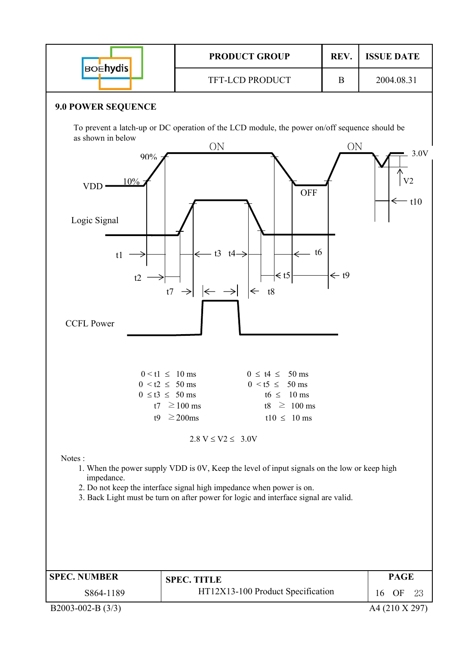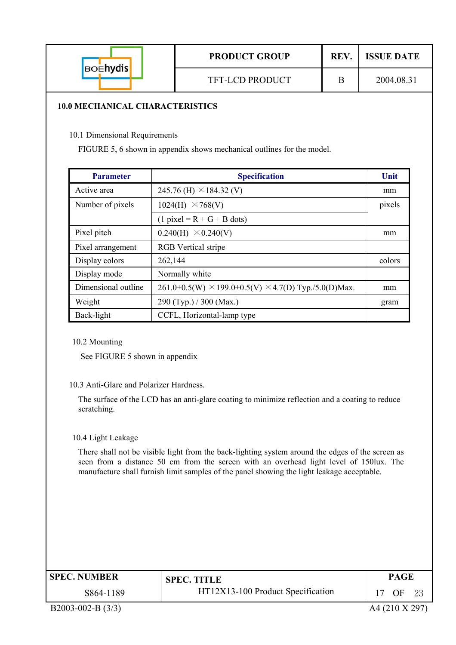| <b>BOENydis</b> | <b>PRODUCT GROUP</b>   | REV. | <b>ISSUE DATE</b> |
|-----------------|------------------------|------|-------------------|
|                 | <b>TFT-LCD PRODUCT</b> |      | 2004.08.31        |

#### **10.0 MECHANICAL CHARACTERISTICS**

10.1 Dimensional Requirements

FIGURE 5, 6 shown in appendix shows mechanical outlines for the model.

| <b>Parameter</b>    | <b>Specification</b>                                                 | Unit   |
|---------------------|----------------------------------------------------------------------|--------|
| Active area         | 245.76 (H) $\times$ 184.32 (V)                                       | mm     |
| Number of pixels    | 1024(H)<br>$\times$ 768(V)                                           | pixels |
|                     | $(1$ pixel = R + G + B dots)                                         |        |
| Pixel pitch         | $0.240(H) \times 0.240(V)$                                           | mm     |
| Pixel arrangement   | <b>RGB</b> Vertical stripe                                           |        |
| Display colors      | 262,144                                                              | colors |
| Display mode        | Normally white                                                       |        |
| Dimensional outline | $261.0\pm0.5(W) \times 199.0\pm0.5(V) \times 4.7(D)$ Typ./5.0(D)Max. | mm     |
| Weight              | $290$ (Typ.) / 300 (Max.)                                            | gram   |
| Back-light          | CCFL, Horizontal-lamp type                                           |        |

10.2 Mounting

See FIGURE 5 shown in appendix

#### 10.3 Anti-Glare and Polarizer Hardness.

The surface of the LCD has an anti-glare coating to minimize reflection and a coating to reduce scratching.

#### 10.4 Light Leakage

There shall not be visible light from the back-lighting system around the edges of the screen as seen from a distance 50 cm from the screen with an overhead light level of 150lux. The manufacture shall furnish limit samples of the panel showing the light leakage acceptable.

| <b>SPEC. NUMBER</b> | <b>SPEC. TITLE</b>                | PAGE                 |
|---------------------|-----------------------------------|----------------------|
| S864-1189           | HT12X13-100 Product Specification | OΕ<br>$2^{\epsilon}$ |

B2003-002-B (3/3) A4 (210 X 297)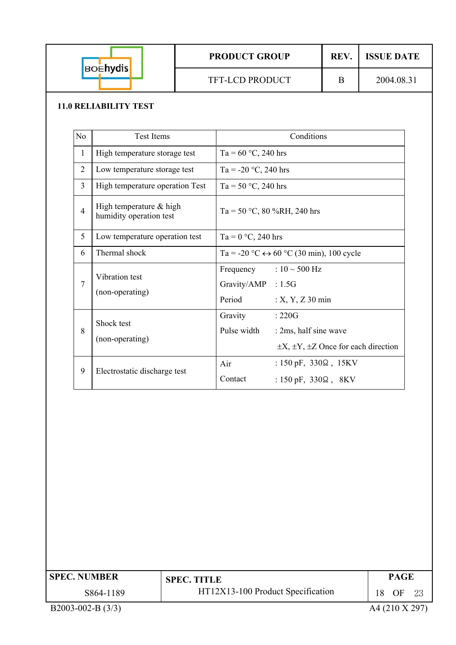| <b>BOENYdis</b> | <b>PRODUCT GROUP</b>   | <b>REV.</b> | <b>ISSUE DATE</b> |
|-----------------|------------------------|-------------|-------------------|
|                 | <b>TFT-LCD PRODUCT</b> |             | 2004.08.31        |

#### **11.0 RELIABILITY TEST**

| N <sub>0</sub> | <b>Test Items</b>                                    | Conditions                                                                                                             |  |
|----------------|------------------------------------------------------|------------------------------------------------------------------------------------------------------------------------|--|
| $\mathbf{1}$   | High temperature storage test                        | Ta = $60 °C$ , 240 hrs                                                                                                 |  |
| $\overline{2}$ | Low temperature storage test                         | Ta = $-20$ °C, 240 hrs                                                                                                 |  |
| $\overline{3}$ | High temperature operation Test                      | Ta = 50 °C, 240 hrs                                                                                                    |  |
| $\overline{4}$ | High temperature $&$ high<br>humidity operation test | Ta = 50 °C, 80 %RH, 240 hrs                                                                                            |  |
| 5              | Low temperature operation test                       | Ta = $0 °C$ , 240 hrs                                                                                                  |  |
| 6              | Thermal shock                                        | Ta = -20 °C $\leftrightarrow$ 60 °C (30 min), 100 cycle                                                                |  |
| $\overline{7}$ | Vibration test<br>(non-operating)                    | Frequency : $10 \sim 500$ Hz<br>Gravity/AMP : 1.5G<br>Period<br>$: X, Y, Z$ 30 min                                     |  |
| 8              | Shock test<br>(non-operating)                        | Gravity<br>:220G<br>Pulse width<br>: 2ms, half sine wave<br>$\pm X$ , $\pm Y$ , $\pm Z$ Once for each direction        |  |
| 9              | Electrostatic discharge test                         | Air<br>: $150 \text{ pF}$ , $330\Omega$ , $15 \text{KV}$<br>Contact<br>: $150 \text{ pF}$ , $330\Omega$ , $8\text{KV}$ |  |

| <b>SPEC. NUMBER</b> | <b>SPEC. TITLE</b>                |                | <b>PAGE</b> |    |
|---------------------|-----------------------------------|----------------|-------------|----|
| S864-1189           | HT12X13-100 Product Specification | 18.            | OF          | 23 |
| $B2003-002-B(3/3)$  |                                   | A4 (210 X 297) |             |    |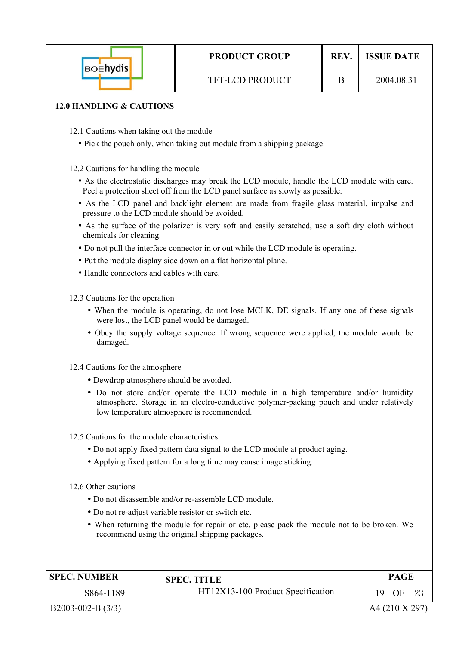|                                                                        | <b>PRODUCT GROUP</b>                                                                         | REV. | <b>ISSUE DATE</b> |
|------------------------------------------------------------------------|----------------------------------------------------------------------------------------------|------|-------------------|
| <b>BOEhydis</b>                                                        | <b>TFT-LCD PRODUCT</b>                                                                       | B    | 2004.08.31        |
| <b>12.0 HANDLING &amp; CAUTIONS</b>                                    |                                                                                              |      |                   |
| 12.1 Cautions when taking out the module                               |                                                                                              |      |                   |
| • Pick the pouch only, when taking out module from a shipping package. |                                                                                              |      |                   |
| 12.2 Cautions for handling the module                                  | • As the electrostatic discharges may break the LCD module, handle the LCD module with care. |      |                   |

- Peel a protection sheet off from the LCD panel surface as slowly as possible.
- As the LCD panel and backlight element are made from fragile glass material, impulse and pressure to the LCD module should be avoided.
- As the surface of the polarizer is very soft and easily scratched, use a soft dry cloth without chemicals for cleaning.
- Do not pull the interface connector in or out while the LCD module is operating.
- Put the module display side down on a flat horizontal plane.
- Handle connectors and cables with care.
- 12.3 Cautions for the operation
	- When the module is operating, do not lose MCLK, DE signals. If any one of these signals were lost, the LCD panel would be damaged.
	- Obey the supply voltage sequence. If wrong sequence were applied, the module would be damaged.
- 12.4 Cautions for the atmosphere
	- Dewdrop atmosphere should be avoided.
	- Do not store and/or operate the LCD module in a high temperature and/or humidity atmosphere. Storage in an electro-conductive polymer-packing pouch and under relatively low temperature atmosphere is recommended.
- 12.5 Cautions for the module characteristics
	- Do not apply fixed pattern data signal to the LCD module at product aging.
	- Applying fixed pattern for a long time may cause image sticking.
- 12.6 Other cautions
	- Do not disassemble and/or re-assemble LCD module.
	- Do not re-adjust variable resistor or switch etc.
	- When returning the module for repair or etc, please pack the module not to be broken. We recommend using the original shipping packages.

| <b>SPEC. NUMBER</b> | <b>SPEC. TITLE</b>                | <b>PAGE</b>     |
|---------------------|-----------------------------------|-----------------|
| S864-1189           | HT12X13-100 Product Specification | OF<br>19<br>-23 |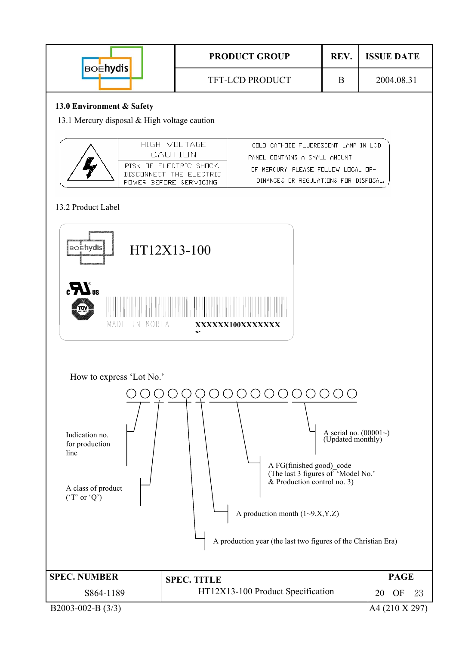| <b>BOENydis</b> | <b>PRODUCT GROUP</b>   | <b>REV</b> | <b>ISSUE DATE</b> |
|-----------------|------------------------|------------|-------------------|
|                 | <b>TFT-LCD PRODUCT</b> |            | 2004.08.31        |

#### **13.0 Environment & Safety**

13.1 Mercury disposal & High voltage caution

| HIGH VOLTAGE.<br>CALITION                                                    | CHEN CAIHUNE ELURRESCENT LAMP IN LCD<br>PANEL CONTAINS A SMALL AMOUNT           |
|------------------------------------------------------------------------------|---------------------------------------------------------------------------------|
| RISK HE ELECTRIC SHICK.<br>DISCONNECT THE FLECTRIC<br>PUMER REFURE SERVICING | THE MERCURY. PLEASE FILLINY LITCAL TIR-<br>DINANCES OR REGULATIONS FOR DISPOSAL |

#### 13.2 Product Label

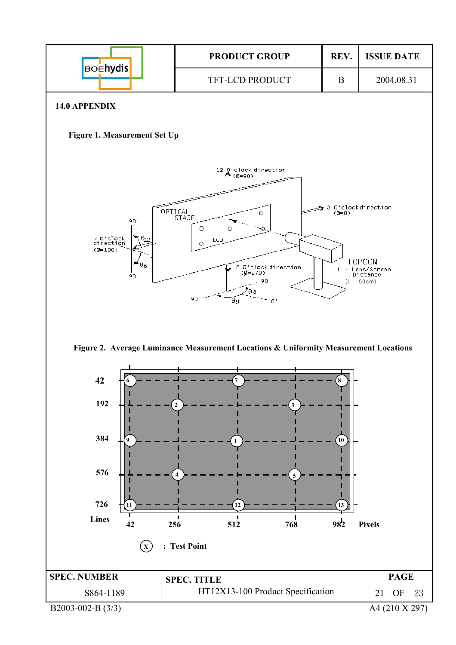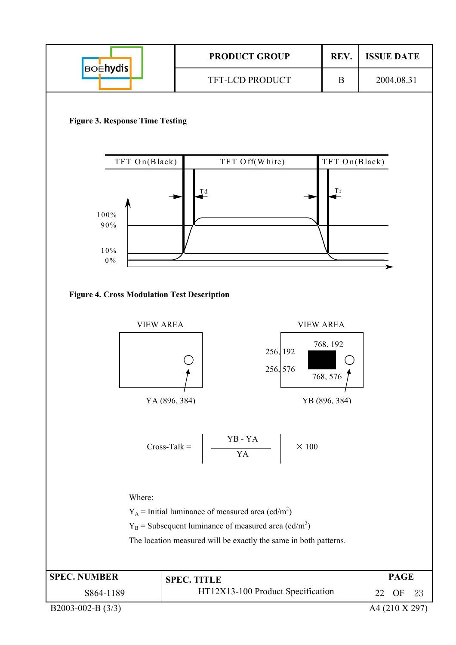